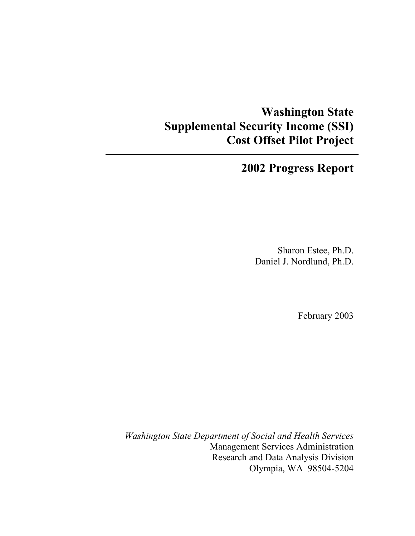## **Washington State Supplemental Security Income (SSI) Cost Offset Pilot Project**

## **2002 Progress Report**

Sharon Estee, Ph.D. Daniel J. Nordlund, Ph.D.

February 2003

*Washington State Department of Social and Health Services*  Management Services Administration Research and Data Analysis Division Olympia, WA 98504-5204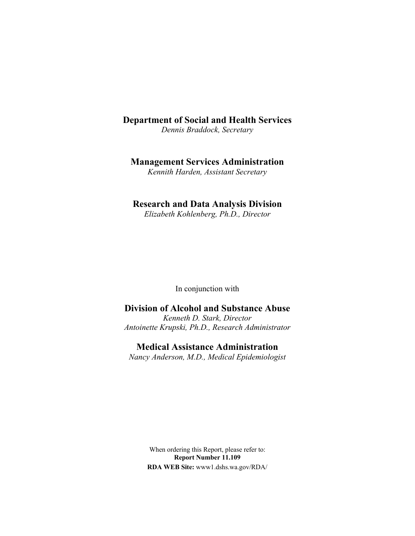## **Department of Social and Health Services**

*Dennis Braddock, Secretary* 

## **Management Services Administration**

*Kennith Harden, Assistant Secretary* 

### **Research and Data Analysis Division**

*Elizabeth Kohlenberg, Ph.D., Director* 

In conjunction with

## **Division of Alcohol and Substance Abuse**

*Kenneth D. Stark, Director Antoinette Krupski, Ph.D., Research Administrator*

**Medical Assistance Administration** 

*Nancy Anderson, M.D., Medical Epidemiologist* 

When ordering this Report, please refer to: **Report Number 11.109 RDA WEB Site:** www1.dshs.wa.gov/RDA/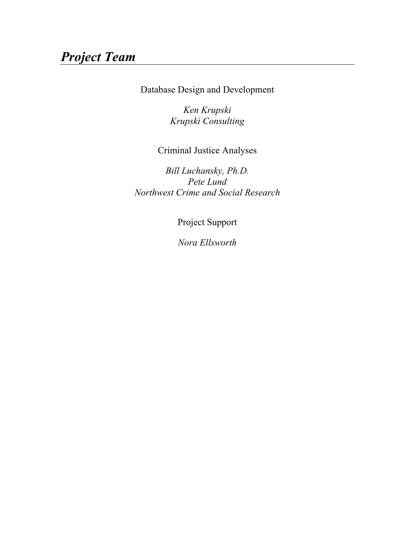## *Project Team*

Database Design and Development

*Ken Krupski Krupski Consulting* 

Criminal Justice Analyses

*Bill Luchansky, Ph.D. Pete Lund Northwest Crime and Social Research* 

Project Support

*Nora Ellsworth*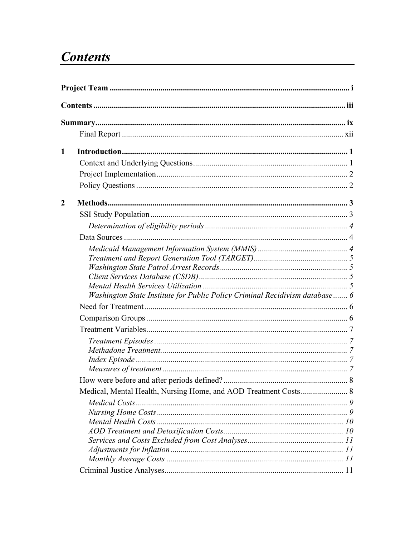## **Contents**

| 1 |                                                                             |  |  |  |  |
|---|-----------------------------------------------------------------------------|--|--|--|--|
|   |                                                                             |  |  |  |  |
|   |                                                                             |  |  |  |  |
|   |                                                                             |  |  |  |  |
| 2 |                                                                             |  |  |  |  |
|   |                                                                             |  |  |  |  |
|   |                                                                             |  |  |  |  |
|   |                                                                             |  |  |  |  |
|   |                                                                             |  |  |  |  |
|   |                                                                             |  |  |  |  |
|   |                                                                             |  |  |  |  |
|   |                                                                             |  |  |  |  |
|   |                                                                             |  |  |  |  |
|   | Washington State Institute for Public Policy Criminal Recidivism database 6 |  |  |  |  |
|   |                                                                             |  |  |  |  |
|   |                                                                             |  |  |  |  |
|   |                                                                             |  |  |  |  |
|   |                                                                             |  |  |  |  |
|   |                                                                             |  |  |  |  |
|   |                                                                             |  |  |  |  |
|   |                                                                             |  |  |  |  |
|   |                                                                             |  |  |  |  |
|   |                                                                             |  |  |  |  |
|   |                                                                             |  |  |  |  |
|   |                                                                             |  |  |  |  |
|   |                                                                             |  |  |  |  |
|   |                                                                             |  |  |  |  |
|   |                                                                             |  |  |  |  |
|   |                                                                             |  |  |  |  |
|   |                                                                             |  |  |  |  |
|   |                                                                             |  |  |  |  |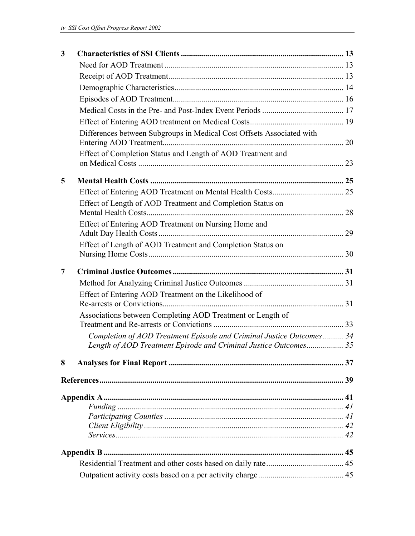| 3 |                                                                       |  |
|---|-----------------------------------------------------------------------|--|
|   |                                                                       |  |
|   |                                                                       |  |
|   |                                                                       |  |
|   |                                                                       |  |
|   |                                                                       |  |
|   |                                                                       |  |
|   | Differences between Subgroups in Medical Cost Offsets Associated with |  |
|   | Effect of Completion Status and Length of AOD Treatment and           |  |
| 5 |                                                                       |  |
|   |                                                                       |  |
|   | Effect of Length of AOD Treatment and Completion Status on            |  |
|   | Effect of Entering AOD Treatment on Nursing Home and                  |  |
|   | Effect of Length of AOD Treatment and Completion Status on            |  |
|   |                                                                       |  |
|   |                                                                       |  |
| 7 |                                                                       |  |
|   |                                                                       |  |
|   | Effect of Entering AOD Treatment on the Likelihood of                 |  |
|   |                                                                       |  |
|   | Associations between Completing AOD Treatment or Length of            |  |
|   | Completion of AOD Treatment Episode and Criminal Justice Outcomes 34  |  |
|   | Length of AOD Treatment Episode and Criminal Justice Outcomes 35      |  |
| 8 |                                                                       |  |
|   |                                                                       |  |
|   |                                                                       |  |
|   |                                                                       |  |
|   |                                                                       |  |
|   |                                                                       |  |
|   |                                                                       |  |
|   |                                                                       |  |
|   |                                                                       |  |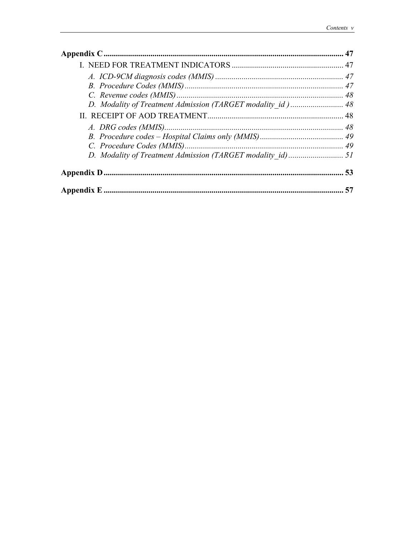| D. Modality of Treatment Admission (TARGET modality id) 48 |  |
|------------------------------------------------------------|--|
|                                                            |  |
|                                                            |  |
|                                                            |  |
|                                                            |  |
|                                                            |  |
|                                                            |  |
|                                                            |  |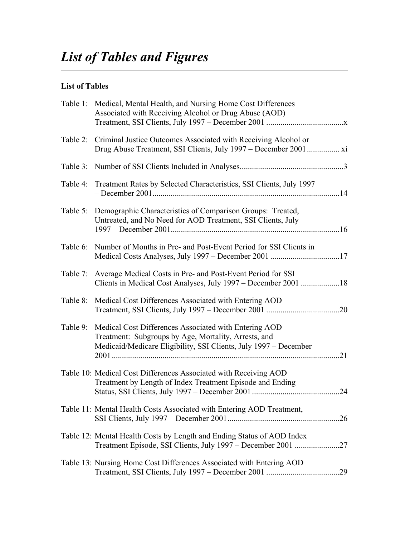## **List of Tables**

|          | Table 1: Medical, Mental Health, and Nursing Home Cost Differences<br>Associated with Receiving Alcohol or Drug Abuse (AOD)                                                       |     |
|----------|-----------------------------------------------------------------------------------------------------------------------------------------------------------------------------------|-----|
| Table 2: | Criminal Justice Outcomes Associated with Receiving Alcohol or                                                                                                                    |     |
| Table 3: |                                                                                                                                                                                   |     |
|          | Table 4: Treatment Rates by Selected Characteristics, SSI Clients, July 1997                                                                                                      |     |
| Table 5: | Demographic Characteristics of Comparison Groups: Treated,<br>Untreated, and No Need for AOD Treatment, SSI Clients, July                                                         |     |
| Table 6: | Number of Months in Pre- and Post-Event Period for SSI Clients in                                                                                                                 |     |
|          | Table 7: Average Medical Costs in Pre- and Post-Event Period for SSI<br>Clients in Medical Cost Analyses, July 1997 – December 2001 18                                            |     |
| Table 8: | Medical Cost Differences Associated with Entering AOD                                                                                                                             |     |
| Table 9: | Medical Cost Differences Associated with Entering AOD<br>Treatment: Subgroups by Age, Mortality, Arrests, and<br>Medicaid/Medicare Eligibility, SSI Clients, July 1997 – December | .21 |
|          | Table 10: Medical Cost Differences Associated with Receiving AOD<br>Treatment by Length of Index Treatment Episode and Ending                                                     | .24 |
|          | Table 11: Mental Health Costs Associated with Entering AOD Treatment,                                                                                                             |     |
|          | Table 12: Mental Health Costs by Length and Ending Status of AOD Index<br>Treatment Episode, SSI Clients, July 1997 - December 2001 27                                            |     |
|          | Table 13: Nursing Home Cost Differences Associated with Entering AOD                                                                                                              |     |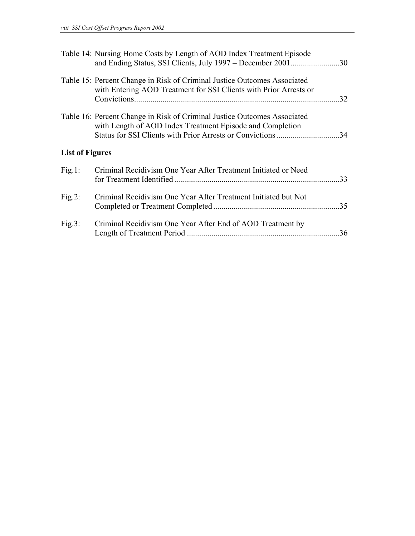|                        | Table 14: Nursing Home Costs by Length of AOD Index Treatment Episode<br>and Ending Status, SSI Clients, July 1997 - December 200130          |     |
|------------------------|-----------------------------------------------------------------------------------------------------------------------------------------------|-----|
|                        | Table 15: Percent Change in Risk of Criminal Justice Outcomes Associated<br>with Entering AOD Treatment for SSI Clients with Prior Arrests or |     |
|                        | Table 16: Percent Change in Risk of Criminal Justice Outcomes Associated<br>with Length of AOD Index Treatment Episode and Completion         |     |
| <b>List of Figures</b> |                                                                                                                                               |     |
| Fig.1:                 | Criminal Recidivism One Year After Treatment Initiated or Need                                                                                | .33 |
| Fig.2:                 | Criminal Recidivism One Year After Treatment Initiated but Not                                                                                |     |
| Fig.3:                 | Criminal Recidivism One Year After End of AOD Treatment by                                                                                    | .36 |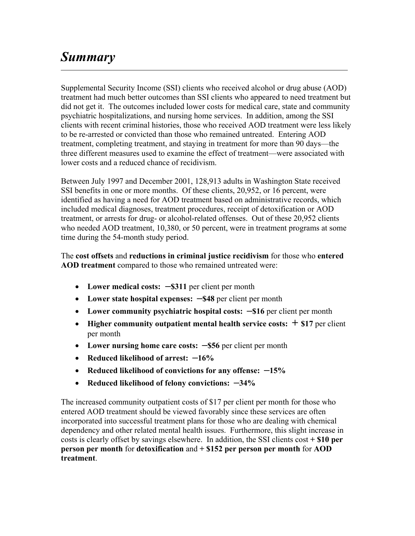## *Summary*

Supplemental Security Income (SSI) clients who received alcohol or drug abuse (AOD) treatment had much better outcomes than SSI clients who appeared to need treatment but did not get it. The outcomes included lower costs for medical care, state and community psychiatric hospitalizations, and nursing home services. In addition, among the SSI clients with recent criminal histories, those who received AOD treatment were less likely to be re-arrested or convicted than those who remained untreated. Entering AOD treatment, completing treatment, and staying in treatment for more than 90 days—the three different measures used to examine the effect of treatment—were associated with lower costs and a reduced chance of recidivism.

Between July 1997 and December 2001, 128,913 adults in Washington State received SSI benefits in one or more months. Of these clients, 20,952, or 16 percent, were identified as having a need for AOD treatment based on administrative records, which included medical diagnoses, treatment procedures, receipt of detoxification or AOD treatment, or arrests for drug- or alcohol-related offenses. Out of these 20,952 clients who needed AOD treatment, 10,380, or 50 percent, were in treatment programs at some time during the 54-month study period.

The **cost offsets** and **reductions in criminal justice recidivism** for those who **entered AOD treatment** compared to those who remained untreated were:

- Lower medical costs:  $-$ \$311 per client per month
- **Lower state hospital expenses: –\$48** per client per month
- Lower community psychiatric hospital costs:  $-16$  per client per month
- **Higher community outpatient mental health service costs:**  $+$  \$17 per client per month
- Lower nursing home care costs:  $-$ \$56 per client per month
- **Reduced likelihood of arrest: –16%**
- **Reduced likelihood of convictions for any offense: –15%**
- **Reduced likelihood of felony convictions: –34%**

The increased community outpatient costs of \$17 per client per month for those who entered AOD treatment should be viewed favorably since these services are often incorporated into successful treatment plans for those who are dealing with chemical dependency and other related mental health issues. Furthermore, this slight increase in costs is clearly offset by savings elsewhere. In addition, the SSI clients cost **+ \$10 per person per month** for **detoxification** and **+ \$152 per person per month** for **AOD treatment**.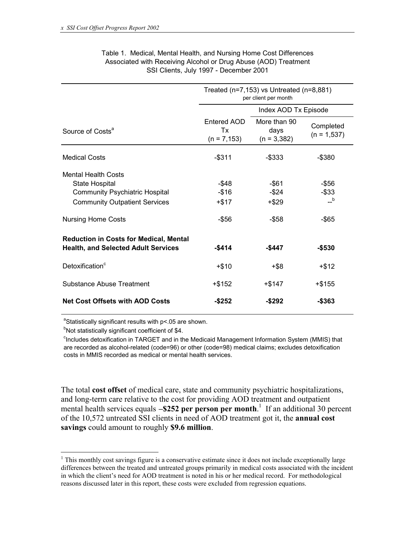|                                                                                                                               | Treated ( $n=7,153$ ) vs Untreated ( $n=8,881$ )<br>per client per month |                                       |                                |  |  |
|-------------------------------------------------------------------------------------------------------------------------------|--------------------------------------------------------------------------|---------------------------------------|--------------------------------|--|--|
|                                                                                                                               |                                                                          | Index AOD Tx Episode                  |                                |  |  |
| Source of Costs <sup>a</sup>                                                                                                  | Entered AOD<br>Tx<br>$(n = 7, 153)$                                      | More than 90<br>days<br>$(n = 3,382)$ | Completed<br>$(n = 1, 537)$    |  |  |
| <b>Medical Costs</b>                                                                                                          | $-$ \$311                                                                | -\$333                                | $-$ \$380                      |  |  |
| <b>Mental Health Costs</b><br>State Hospital<br><b>Community Psychiatric Hospital</b><br><b>Community Outpatient Services</b> | -\$48<br>$-$ \$16<br>+\$17                                               | -\$61<br>-\$24<br>$+ $29$             | -\$56<br>-\$33<br>$\mathbf{b}$ |  |  |
| <b>Nursing Home Costs</b>                                                                                                     | -\$56                                                                    | -\$58                                 | $-$ \$65                       |  |  |
| <b>Reduction in Costs for Medical, Mental</b><br><b>Health, and Selected Adult Services</b>                                   | $-$ \$414                                                                | -\$447                                | -\$530                         |  |  |
| Detoxification <sup>c</sup>                                                                                                   | $+ $10$                                                                  | $+$ \$8                               | $+ $12$                        |  |  |
| Substance Abuse Treatment                                                                                                     | +\$152                                                                   | +\$147                                | $+$ \$155                      |  |  |
| <b>Net Cost Offsets with AOD Costs</b>                                                                                        | -\$252                                                                   | $-$ \$292                             | -\$363                         |  |  |

#### Table 1. Medical, Mental Health, and Nursing Home Cost Differences Associated with Receiving Alcohol or Drug Abuse (AOD) Treatment SSI Clients, July 1997 - December 2001

<sup>a</sup>Statistically significant results with p<.05 are shown.

<sup>b</sup>Not statistically significant coefficient of \$4.

 $\overline{a}$ 

<sup>c</sup>Includes detoxification in TARGET and in the Medicaid Management Information System (MMIS) that are recorded as alcohol-related (code=96) or other (code=98) medical claims; excludes detoxification costs in MMIS recorded as medical or mental health services.

The total **cost offset** of medical care, state and community psychiatric hospitalizations, and long-term care relative to the cost for providing AOD treatment and outpatient mental health services equals -**\$252 per person per month**.<sup>1</sup> If an additional 30 percent of the 10,572 untreated SSI clients in need of AOD treatment got it, the **annual cost savings** could amount to roughly **\$9.6 million**.

<sup>&</sup>lt;sup>1</sup> This monthly cost savings figure is a conservative estimate since it does not include exceptionally large differences between the treated and untreated groups primarily in medical costs associated with the incident in which the client's need for AOD treatment is noted in his or her medical record. For methodological reasons discussed later in this report, these costs were excluded from regression equations.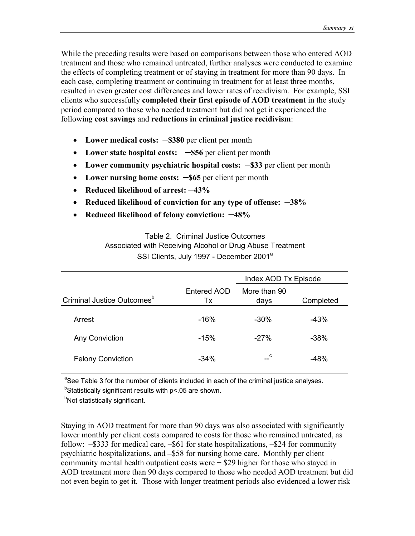While the preceding results were based on comparisons between those who entered AOD treatment and those who remained untreated, further analyses were conducted to examine the effects of completing treatment or of staying in treatment for more than 90 days. In each case, completing treatment or continuing in treatment for at least three months, resulted in even greater cost differences and lower rates of recidivism. For example, SSI clients who successfully **completed their first episode of AOD treatment** in the study period compared to those who needed treatment but did not get it experienced the following **cost savings** and **reductions in criminal justice recidivism**:

- Lower medical costs:  $-$ \$380 per client per month
- Lower state hospital costs:  $-$ \$56 per client per month
- Lower community psychiatric hospital costs:  $-$ \$33 per client per month
- Lower nursing home costs:  $-$ \$65 per client per month
- **Reduced likelihood of arrest: –43%**
- **Reduced likelihood of conviction for any type of offense: –38%**
- **Reduced likelihood of felony conviction: –48%**

Table 2. Criminal Justice Outcomes Associated with Receiving Alcohol or Drug Abuse Treatment SSI Clients, July 1997 - December 2001<sup>a</sup>

|                                        |                   | Index AOD Tx Episode |           |  |
|----------------------------------------|-------------------|----------------------|-----------|--|
| Criminal Justice Outcomes <sup>b</sup> | Entered AOD<br>Tx | More than 90<br>days | Completed |  |
| Arrest                                 | $-16%$            | $-30\%$              | $-43%$    |  |
| Any Conviction                         | $-15%$            | $-27%$               | $-38%$    |  |
| <b>Felony Conviction</b>               | $-34%$            | $-c$                 | $-48%$    |  |

<sup>a</sup>See Table 3 for the number of clients included in each of the criminal justice analyses.

<sup>b</sup>Statistically significant results with p<.05 are shown.

<sup>b</sup>Not statistically significant.

Staying in AOD treatment for more than 90 days was also associated with significantly lower monthly per client costs compared to costs for those who remained untreated, as follow: **–**\$333 for medical care, **–**\$61 for state hospitalizations, **–**\$24 for community psychiatric hospitalizations, and **–**\$58 for nursing home care. Monthly per client community mental health outpatient costs were  $+$  \$29 higher for those who stayed in AOD treatment more than 90 days compared to those who needed AOD treatment but did not even begin to get it. Those with longer treatment periods also evidenced a lower risk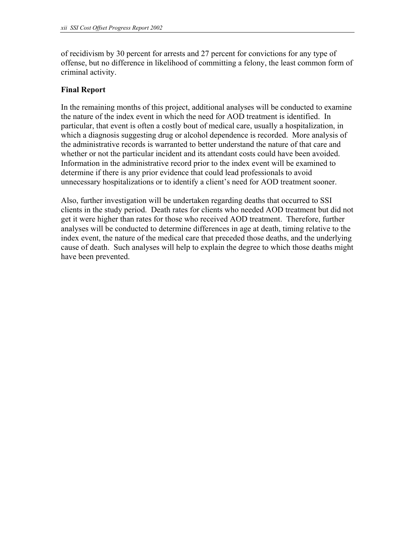of recidivism by 30 percent for arrests and 27 percent for convictions for any type of offense, but no difference in likelihood of committing a felony, the least common form of criminal activity.

### **Final Report**

In the remaining months of this project, additional analyses will be conducted to examine the nature of the index event in which the need for AOD treatment is identified. In particular, that event is often a costly bout of medical care, usually a hospitalization, in which a diagnosis suggesting drug or alcohol dependence is recorded. More analysis of the administrative records is warranted to better understand the nature of that care and whether or not the particular incident and its attendant costs could have been avoided. Information in the administrative record prior to the index event will be examined to determine if there is any prior evidence that could lead professionals to avoid unnecessary hospitalizations or to identify a client's need for AOD treatment sooner.

Also, further investigation will be undertaken regarding deaths that occurred to SSI clients in the study period. Death rates for clients who needed AOD treatment but did not get it were higher than rates for those who received AOD treatment. Therefore, further analyses will be conducted to determine differences in age at death, timing relative to the index event, the nature of the medical care that preceded those deaths, and the underlying cause of death. Such analyses will help to explain the degree to which those deaths might have been prevented.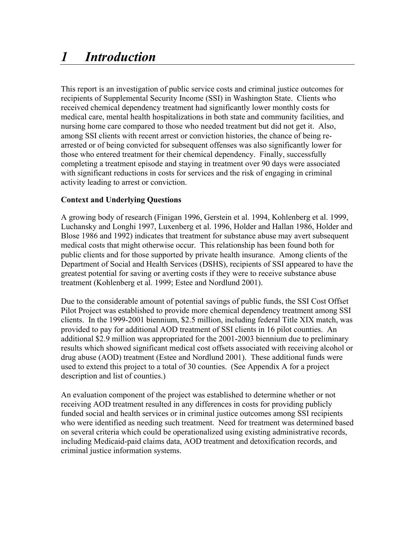# *1 Introduction*

This report is an investigation of public service costs and criminal justice outcomes for recipients of Supplemental Security Income (SSI) in Washington State. Clients who received chemical dependency treatment had significantly lower monthly costs for medical care, mental health hospitalizations in both state and community facilities, and nursing home care compared to those who needed treatment but did not get it. Also, among SSI clients with recent arrest or conviction histories, the chance of being rearrested or of being convicted for subsequent offenses was also significantly lower for those who entered treatment for their chemical dependency. Finally, successfully completing a treatment episode and staying in treatment over 90 days were associated with significant reductions in costs for services and the risk of engaging in criminal activity leading to arrest or conviction.

## **Context and Underlying Questions**

A growing body of research (Finigan 1996, Gerstein et al. 1994, Kohlenberg et al. 1999, Luchansky and Longhi 1997, Luxenberg et al. 1996, Holder and Hallan 1986, Holder and Blose 1986 and 1992) indicates that treatment for substance abuse may avert subsequent medical costs that might otherwise occur. This relationship has been found both for public clients and for those supported by private health insurance. Among clients of the Department of Social and Health Services (DSHS), recipients of SSI appeared to have the greatest potential for saving or averting costs if they were to receive substance abuse treatment (Kohlenberg et al. 1999; Estee and Nordlund 2001).

Due to the considerable amount of potential savings of public funds, the SSI Cost Offset Pilot Project was established to provide more chemical dependency treatment among SSI clients. In the 1999-2001 biennium, \$2.5 million, including federal Title XIX match, was provided to pay for additional AOD treatment of SSI clients in 16 pilot counties. An additional \$2.9 million was appropriated for the 2001-2003 biennium due to preliminary results which showed significant medical cost offsets associated with receiving alcohol or drug abuse (AOD) treatment (Estee and Nordlund 2001). These additional funds were used to extend this project to a total of 30 counties. (See Appendix A for a project description and list of counties.)

An evaluation component of the project was established to determine whether or not receiving AOD treatment resulted in any differences in costs for providing publicly funded social and health services or in criminal justice outcomes among SSI recipients who were identified as needing such treatment. Need for treatment was determined based on several criteria which could be operationalized using existing administrative records, including Medicaid-paid claims data, AOD treatment and detoxification records, and criminal justice information systems.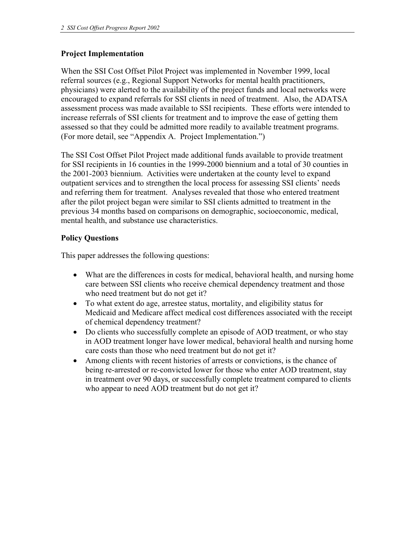## **Project Implementation**

When the SSI Cost Offset Pilot Project was implemented in November 1999, local referral sources (e.g., Regional Support Networks for mental health practitioners, physicians) were alerted to the availability of the project funds and local networks were encouraged to expand referrals for SSI clients in need of treatment. Also, the ADATSA assessment process was made available to SSI recipients. These efforts were intended to increase referrals of SSI clients for treatment and to improve the ease of getting them assessed so that they could be admitted more readily to available treatment programs. (For more detail, see "Appendix A. Project Implementation.")

The SSI Cost Offset Pilot Project made additional funds available to provide treatment for SSI recipients in 16 counties in the 1999-2000 biennium and a total of 30 counties in the 2001-2003 biennium. Activities were undertaken at the county level to expand outpatient services and to strengthen the local process for assessing SSI clients' needs and referring them for treatment. Analyses revealed that those who entered treatment after the pilot project began were similar to SSI clients admitted to treatment in the previous 34 months based on comparisons on demographic, socioeconomic, medical, mental health, and substance use characteristics.

## **Policy Questions**

This paper addresses the following questions:

- What are the differences in costs for medical, behavioral health, and nursing home care between SSI clients who receive chemical dependency treatment and those who need treatment but do not get it?
- To what extent do age, arrestee status, mortality, and eligibility status for Medicaid and Medicare affect medical cost differences associated with the receipt of chemical dependency treatment?
- Do clients who successfully complete an episode of AOD treatment, or who stay in AOD treatment longer have lower medical, behavioral health and nursing home care costs than those who need treatment but do not get it?
- Among clients with recent histories of arrests or convictions, is the chance of being re-arrested or re-convicted lower for those who enter AOD treatment, stay in treatment over 90 days, or successfully complete treatment compared to clients who appear to need AOD treatment but do not get it?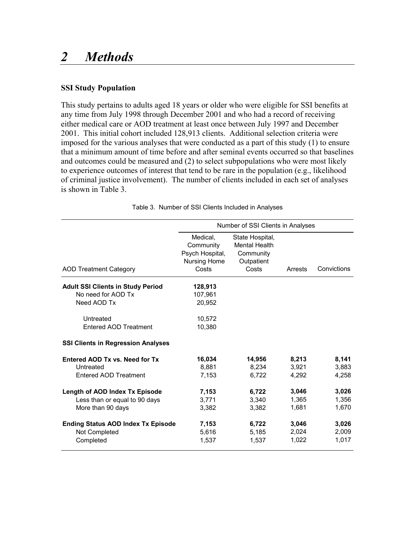## *2 Methods*

## **SSI Study Population**

This study pertains to adults aged 18 years or older who were eligible for SSI benefits at any time from July 1998 through December 2001 and who had a record of receiving either medical care or AOD treatment at least once between July 1997 and December 2001. This initial cohort included 128,913 clients. Additional selection criteria were imposed for the various analyses that were conducted as a part of this study (1) to ensure that a minimum amount of time before and after seminal events occurred so that baselines and outcomes could be measured and (2) to select subpopulations who were most likely to experience outcomes of interest that tend to be rare in the population (e.g., likelihood of criminal justice involvement). The number of clients included in each set of analyses is shown in Table 3.

|                                           | Number of SSI Clients in Analyses                                 |                                                                             |         |             |  |  |
|-------------------------------------------|-------------------------------------------------------------------|-----------------------------------------------------------------------------|---------|-------------|--|--|
| <b>AOD Treatment Category</b>             | Medical,<br>Community<br>Psych Hospital,<br>Nursing Home<br>Costs | State Hospital,<br><b>Mental Health</b><br>Community<br>Outpatient<br>Costs | Arrests | Convictions |  |  |
| <b>Adult SSI Clients in Study Period</b>  | 128,913                                                           |                                                                             |         |             |  |  |
| No need for AOD Tx                        | 107.961                                                           |                                                                             |         |             |  |  |
| Need AOD Tx                               | 20,952                                                            |                                                                             |         |             |  |  |
| Untreated                                 | 10,572                                                            |                                                                             |         |             |  |  |
| Entered AOD Treatment                     | 10,380                                                            |                                                                             |         |             |  |  |
| <b>SSI Clients in Regression Analyses</b> |                                                                   |                                                                             |         |             |  |  |
| Entered AOD Tx vs. Need for Tx            | 16,034                                                            | 14,956                                                                      | 8,213   | 8,141       |  |  |
| Untreated                                 | 8,881                                                             | 8,234                                                                       | 3,921   | 3,883       |  |  |
| Entered AOD Treatment                     | 7,153                                                             | 6,722                                                                       | 4,292   | 4,258       |  |  |
| Length of AOD Index Tx Episode            | 7,153                                                             | 6,722                                                                       | 3,046   | 3,026       |  |  |
| Less than or equal to 90 days             | 3,771                                                             | 3,340                                                                       | 1,365   | 1,356       |  |  |
| More than 90 days                         | 3,382                                                             | 3,382                                                                       | 1,681   | 1,670       |  |  |
| <b>Ending Status AOD Index Tx Episode</b> | 7,153                                                             | 6,722                                                                       | 3,046   | 3,026       |  |  |
| Not Completed                             | 5,616                                                             | 5,185                                                                       | 2,024   | 2,009       |  |  |
| Completed                                 | 1,537                                                             | 1,537                                                                       | 1,022   | 1,017       |  |  |

Table 3. Number of SSI Clients Included in Analyses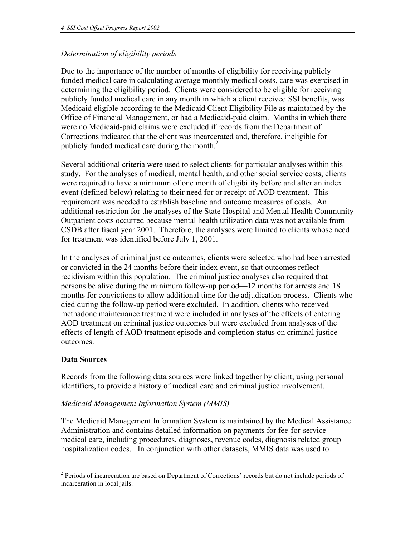## *Determination of eligibility periods*

Due to the importance of the number of months of eligibility for receiving publicly funded medical care in calculating average monthly medical costs, care was exercised in determining the eligibility period. Clients were considered to be eligible for receiving publicly funded medical care in any month in which a client received SSI benefits, was Medicaid eligible according to the Medicaid Client Eligibility File as maintained by the Office of Financial Management, or had a Medicaid-paid claim. Months in which there were no Medicaid-paid claims were excluded if records from the Department of Corrections indicated that the client was incarcerated and, therefore, ineligible for publicly funded medical care during the month. $2$ 

Several additional criteria were used to select clients for particular analyses within this study. For the analyses of medical, mental health, and other social service costs, clients were required to have a minimum of one month of eligibility before and after an index event (defined below) relating to their need for or receipt of AOD treatment. This requirement was needed to establish baseline and outcome measures of costs. An additional restriction for the analyses of the State Hospital and Mental Health Community Outpatient costs occurred because mental health utilization data was not available from CSDB after fiscal year 2001. Therefore, the analyses were limited to clients whose need for treatment was identified before July 1, 2001.

In the analyses of criminal justice outcomes, clients were selected who had been arrested or convicted in the 24 months before their index event, so that outcomes reflect recidivism within this population. The criminal justice analyses also required that persons be alive during the minimum follow-up period—12 months for arrests and 18 months for convictions to allow additional time for the adjudication process. Clients who died during the follow-up period were excluded. In addition, clients who received methadone maintenance treatment were included in analyses of the effects of entering AOD treatment on criminal justice outcomes but were excluded from analyses of the effects of length of AOD treatment episode and completion status on criminal justice outcomes.

## **Data Sources**

Records from the following data sources were linked together by client, using personal identifiers, to provide a history of medical care and criminal justice involvement.

## *Medicaid Management Information System (MMIS)*

The Medicaid Management Information System is maintained by the Medical Assistance Administration and contains detailed information on payments for fee-for-service medical care, including procedures, diagnoses, revenue codes, diagnosis related group hospitalization codes. In conjunction with other datasets, MMIS data was used to

 $\overline{a}$ <sup>2</sup> Periods of incarceration are based on Department of Corrections' records but do not include periods of incarceration in local jails.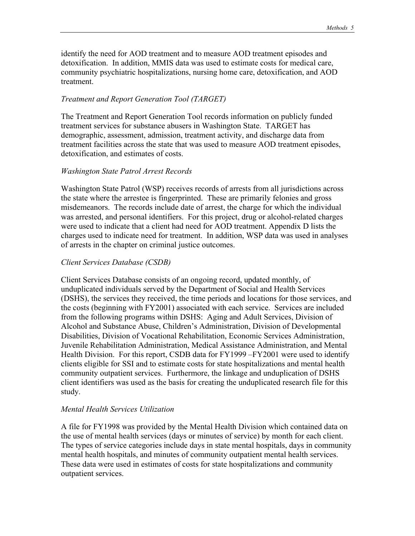identify the need for AOD treatment and to measure AOD treatment episodes and detoxification. In addition, MMIS data was used to estimate costs for medical care, community psychiatric hospitalizations, nursing home care, detoxification, and AOD treatment.

#### *Treatment and Report Generation Tool (TARGET)*

The Treatment and Report Generation Tool records information on publicly funded treatment services for substance abusers in Washington State. TARGET has demographic, assessment, admission, treatment activity, and discharge data from treatment facilities across the state that was used to measure AOD treatment episodes, detoxification, and estimates of costs.

#### *Washington State Patrol Arrest Records*

Washington State Patrol (WSP) receives records of arrests from all jurisdictions across the state where the arrestee is fingerprinted. These are primarily felonies and gross misdemeanors. The records include date of arrest, the charge for which the individual was arrested, and personal identifiers. For this project, drug or alcohol-related charges were used to indicate that a client had need for AOD treatment. Appendix D lists the charges used to indicate need for treatment. In addition, WSP data was used in analyses of arrests in the chapter on criminal justice outcomes.

#### *Client Services Database (CSDB)*

Client Services Database consists of an ongoing record, updated monthly, of unduplicated individuals served by the Department of Social and Health Services (DSHS), the services they received, the time periods and locations for those services, and the costs (beginning with FY2001) associated with each service. Services are included from the following programs within DSHS: Aging and Adult Services, Division of Alcohol and Substance Abuse, Children's Administration, Division of Developmental Disabilities, Division of Vocational Rehabilitation, Economic Services Administration, Juvenile Rehabilitation Administration, Medical Assistance Administration, and Mental Health Division. For this report, CSDB data for FY1999 –FY2001 were used to identify clients eligible for SSI and to estimate costs for state hospitalizations and mental health community outpatient services. Furthermore, the linkage and unduplication of DSHS client identifiers was used as the basis for creating the unduplicated research file for this study.

#### *Mental Health Services Utilization*

A file for FY1998 was provided by the Mental Health Division which contained data on the use of mental health services (days or minutes of service) by month for each client. The types of service categories include days in state mental hospitals, days in community mental health hospitals, and minutes of community outpatient mental health services. These data were used in estimates of costs for state hospitalizations and community outpatient services.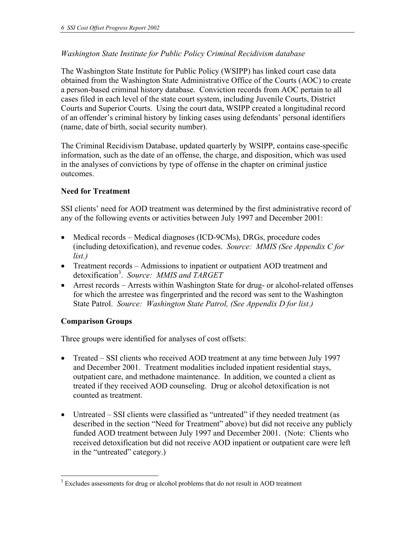## *Washington State Institute for Public Policy Criminal Recidivism database*

The Washington State Institute for Public Policy (WSIPP) has linked court case data obtained from the Washington State Administrative Office of the Courts (AOC) to create a person-based criminal history database. Conviction records from AOC pertain to all cases filed in each level of the state court system, including Juvenile Courts, District Courts and Superior Courts. Using the court data, WSIPP created a longitudinal record of an offender's criminal history by linking cases using defendants' personal identifiers (name, date of birth, social security number).

The Criminal Recidivism Database, updated quarterly by WSIPP, contains case-specific information, such as the date of an offense, the charge, and disposition, which was used in the analyses of convictions by type of offense in the chapter on criminal justice outcomes.

## **Need for Treatment**

SSI clients' need for AOD treatment was determined by the first administrative record of any of the following events or activities between July 1997 and December 2001:

- Medical records Medical diagnoses (ICD-9CMs), DRGs, procedure codes (including detoxification), and revenue codes. *Source: MMIS (See Appendix C for list.)*
- Treatment records Admissions to inpatient or outpatient AOD treatment and detoxification3 . *Source: MMIS and TARGET*
- Arrest records Arrests within Washington State for drug- or alcohol-related offenses for which the arrestee was fingerprinted and the record was sent to the Washington State Patrol. *Source: Washington State Patrol, (See Appendix D for list.)*

## **Comparison Groups**

 $\overline{a}$ 

Three groups were identified for analyses of cost offsets:

- Treated SSI clients who received AOD treatment at any time between July 1997 and December 2001. Treatment modalities included inpatient residential stays, outpatient care, and methadone maintenance. In addition, we counted a client as treated if they received AOD counseling. Drug or alcohol detoxification is not counted as treatment.
- Untreated SSI clients were classified as "untreated" if they needed treatment (as described in the section "Need for Treatment" above) but did not receive any publicly funded AOD treatment between July 1997 and December 2001. (Note: Clients who received detoxification but did not receive AOD inpatient or outpatient care were left in the "untreated" category.)

 $3$  Excludes assessments for drug or alcohol problems that do not result in AOD treatment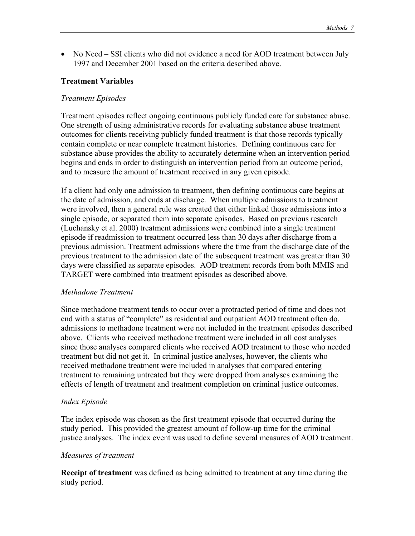• No Need – SSI clients who did not evidence a need for AOD treatment between July 1997 and December 2001 based on the criteria described above.

#### **Treatment Variables**

#### *Treatment Episodes*

Treatment episodes reflect ongoing continuous publicly funded care for substance abuse. One strength of using administrative records for evaluating substance abuse treatment outcomes for clients receiving publicly funded treatment is that those records typically contain complete or near complete treatment histories. Defining continuous care for substance abuse provides the ability to accurately determine when an intervention period begins and ends in order to distinguish an intervention period from an outcome period, and to measure the amount of treatment received in any given episode.

If a client had only one admission to treatment, then defining continuous care begins at the date of admission, and ends at discharge. When multiple admissions to treatment were involved, then a general rule was created that either linked those admissions into a single episode, or separated them into separate episodes. Based on previous research (Luchansky et al. 2000) treatment admissions were combined into a single treatment episode if readmission to treatment occurred less than 30 days after discharge from a previous admission. Treatment admissions where the time from the discharge date of the previous treatment to the admission date of the subsequent treatment was greater than 30 days were classified as separate episodes. AOD treatment records from both MMIS and TARGET were combined into treatment episodes as described above.

#### *Methadone Treatment*

Since methadone treatment tends to occur over a protracted period of time and does not end with a status of "complete" as residential and outpatient AOD treatment often do, admissions to methadone treatment were not included in the treatment episodes described above. Clients who received methadone treatment were included in all cost analyses since those analyses compared clients who received AOD treatment to those who needed treatment but did not get it. In criminal justice analyses, however, the clients who received methadone treatment were included in analyses that compared entering treatment to remaining untreated but they were dropped from analyses examining the effects of length of treatment and treatment completion on criminal justice outcomes.

#### *Index Episode*

The index episode was chosen as the first treatment episode that occurred during the study period. This provided the greatest amount of follow-up time for the criminal justice analyses. The index event was used to define several measures of AOD treatment.

#### *Measures of treatment*

**Receipt of treatment** was defined as being admitted to treatment at any time during the study period.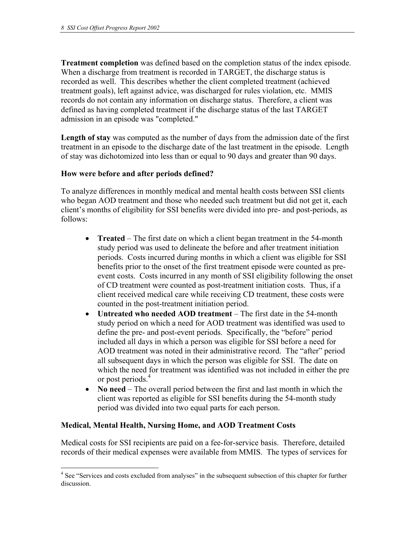**Treatment completion** was defined based on the completion status of the index episode. When a discharge from treatment is recorded in TARGET, the discharge status is recorded as well. This describes whether the client completed treatment (achieved treatment goals), left against advice, was discharged for rules violation, etc. MMIS records do not contain any information on discharge status. Therefore, a client was defined as having completed treatment if the discharge status of the last TARGET admission in an episode was "completed."

**Length of stay** was computed as the number of days from the admission date of the first treatment in an episode to the discharge date of the last treatment in the episode. Length of stay was dichotomized into less than or equal to 90 days and greater than 90 days.

## **How were before and after periods defined?**

To analyze differences in monthly medical and mental health costs between SSI clients who began AOD treatment and those who needed such treatment but did not get it, each client's months of eligibility for SSI benefits were divided into pre- and post-periods, as follows:

- **Treated** The first date on which a client began treatment in the 54-month study period was used to delineate the before and after treatment initiation periods. Costs incurred during months in which a client was eligible for SSI benefits prior to the onset of the first treatment episode were counted as preevent costs. Costs incurred in any month of SSI eligibility following the onset of CD treatment were counted as post-treatment initiation costs. Thus, if a client received medical care while receiving CD treatment, these costs were counted in the post-treatment initiation period.
- **Untreated who needed AOD treatment** The first date in the 54-month study period on which a need for AOD treatment was identified was used to define the pre- and post-event periods. Specifically, the "before" period included all days in which a person was eligible for SSI before a need for AOD treatment was noted in their administrative record. The "after" period all subsequent days in which the person was eligible for SSI. The date on which the need for treatment was identified was not included in either the pre or post periods.<sup>4</sup>
- **No need** The overall period between the first and last month in which the client was reported as eligible for SSI benefits during the 54-month study period was divided into two equal parts for each person.

## **Medical, Mental Health, Nursing Home, and AOD Treatment Costs**

 $\overline{a}$ 

Medical costs for SSI recipients are paid on a fee-for-service basis. Therefore, detailed records of their medical expenses were available from MMIS. The types of services for

<sup>&</sup>lt;sup>4</sup> See "Services and costs excluded from analyses" in the subsequent subsection of this chapter for further discussion.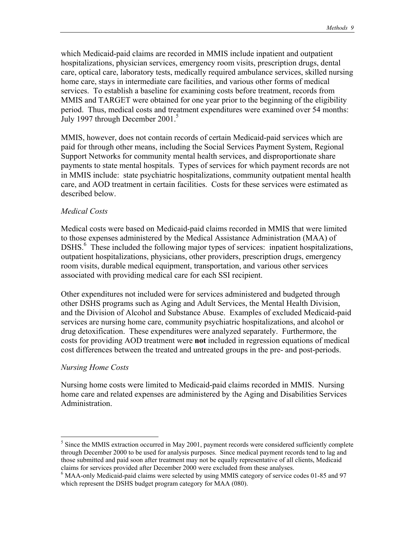which Medicaid-paid claims are recorded in MMIS include inpatient and outpatient hospitalizations, physician services, emergency room visits, prescription drugs, dental care, optical care, laboratory tests, medically required ambulance services, skilled nursing home care, stays in intermediate care facilities, and various other forms of medical services. To establish a baseline for examining costs before treatment, records from MMIS and TARGET were obtained for one year prior to the beginning of the eligibility period. Thus, medical costs and treatment expenditures were examined over 54 months: July 1997 through December 2001.<sup>5</sup>

MMIS, however, does not contain records of certain Medicaid-paid services which are paid for through other means, including the Social Services Payment System, Regional Support Networks for community mental health services, and disproportionate share payments to state mental hospitals. Types of services for which payment records are not in MMIS include: state psychiatric hospitalizations, community outpatient mental health care, and AOD treatment in certain facilities. Costs for these services were estimated as described below.

#### *Medical Costs*

Medical costs were based on Medicaid-paid claims recorded in MMIS that were limited to those expenses administered by the Medical Assistance Administration (MAA) of DSHS.<sup>6</sup> These included the following major types of services: inpatient hospitalizations, outpatient hospitalizations, physicians, other providers, prescription drugs, emergency room visits, durable medical equipment, transportation, and various other services associated with providing medical care for each SSI recipient.

Other expenditures not included were for services administered and budgeted through other DSHS programs such as Aging and Adult Services, the Mental Health Division, and the Division of Alcohol and Substance Abuse. Examples of excluded Medicaid-paid services are nursing home care, community psychiatric hospitalizations, and alcohol or drug detoxification. These expenditures were analyzed separately. Furthermore, the costs for providing AOD treatment were **not** included in regression equations of medical cost differences between the treated and untreated groups in the pre- and post-periods.

#### *Nursing Home Costs*

 $\overline{a}$ 

Nursing home costs were limited to Medicaid-paid claims recorded in MMIS. Nursing home care and related expenses are administered by the Aging and Disabilities Services Administration.

<sup>&</sup>lt;sup>5</sup> Since the MMIS extraction occurred in May 2001, payment records were considered sufficiently complete through December 2000 to be used for analysis purposes. Since medical payment records tend to lag and those submitted and paid soon after treatment may not be equally representative of all clients, Medicaid claims for services provided after December 2000 were excluded from these analyses.

MAA-only Medicaid-paid claims were selected by using MMIS category of service codes 01-85 and 97 which represent the DSHS budget program category for MAA (080).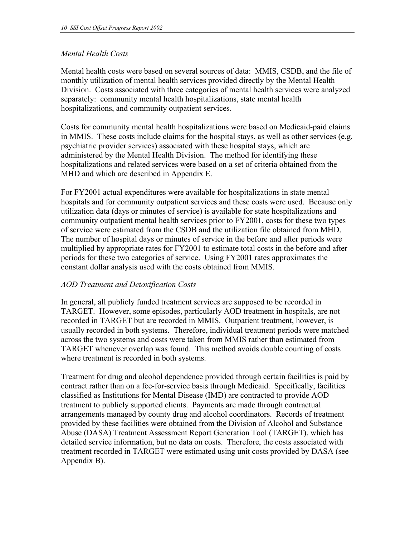## *Mental Health Costs*

Mental health costs were based on several sources of data: MMIS, CSDB, and the file of monthly utilization of mental health services provided directly by the Mental Health Division. Costs associated with three categories of mental health services were analyzed separately: community mental health hospitalizations, state mental health hospitalizations, and community outpatient services.

Costs for community mental health hospitalizations were based on Medicaid-paid claims in MMIS. These costs include claims for the hospital stays, as well as other services (e.g. psychiatric provider services) associated with these hospital stays, which are administered by the Mental Health Division. The method for identifying these hospitalizations and related services were based on a set of criteria obtained from the MHD and which are described in Appendix E.

For FY2001 actual expenditures were available for hospitalizations in state mental hospitals and for community outpatient services and these costs were used. Because only utilization data (days or minutes of service) is available for state hospitalizations and community outpatient mental health services prior to FY2001, costs for these two types of service were estimated from the CSDB and the utilization file obtained from MHD. The number of hospital days or minutes of service in the before and after periods were multiplied by appropriate rates for FY2001 to estimate total costs in the before and after periods for these two categories of service. Using FY2001 rates approximates the constant dollar analysis used with the costs obtained from MMIS.

## *AOD Treatment and Detoxification Costs*

In general, all publicly funded treatment services are supposed to be recorded in TARGET. However, some episodes, particularly AOD treatment in hospitals, are not recorded in TARGET but are recorded in MMIS. Outpatient treatment, however, is usually recorded in both systems. Therefore, individual treatment periods were matched across the two systems and costs were taken from MMIS rather than estimated from TARGET whenever overlap was found. This method avoids double counting of costs where treatment is recorded in both systems.

Treatment for drug and alcohol dependence provided through certain facilities is paid by contract rather than on a fee-for-service basis through Medicaid. Specifically, facilities classified as Institutions for Mental Disease (IMD) are contracted to provide AOD treatment to publicly supported clients. Payments are made through contractual arrangements managed by county drug and alcohol coordinators. Records of treatment provided by these facilities were obtained from the Division of Alcohol and Substance Abuse (DASA) Treatment Assessment Report Generation Tool (TARGET), which has detailed service information, but no data on costs. Therefore, the costs associated with treatment recorded in TARGET were estimated using unit costs provided by DASA (see Appendix B).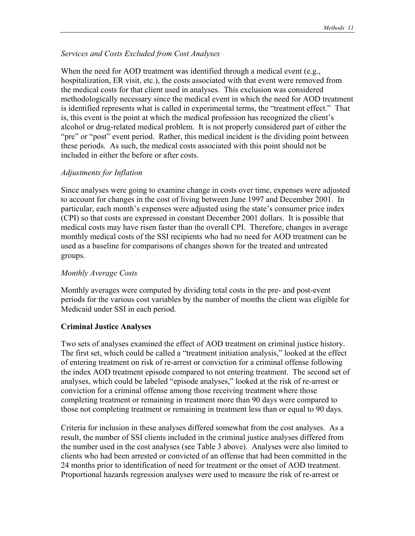### *Services and Costs Excluded from Cost Analyses*

When the need for AOD treatment was identified through a medical event (e.g., hospitalization, ER visit, etc.), the costs associated with that event were removed from the medical costs for that client used in analyses. This exclusion was considered methodologically necessary since the medical event in which the need for AOD treatment is identified represents what is called in experimental terms, the "treatment effect." That is, this event is the point at which the medical profession has recognized the client's alcohol or drug-related medical problem. It is not properly considered part of either the "pre" or "post" event period. Rather, this medical incident is the dividing point between these periods. As such, the medical costs associated with this point should not be included in either the before or after costs.

#### *Adjustments for Inflation*

Since analyses were going to examine change in costs over time, expenses were adjusted to account for changes in the cost of living between June 1997 and December 2001. In particular, each month's expenses were adjusted using the state's consumer price index (CPI) so that costs are expressed in constant December 2001 dollars. It is possible that medical costs may have risen faster than the overall CPI. Therefore, changes in average monthly medical costs of the SSI recipients who had no need for AOD treatment can be used as a baseline for comparisons of changes shown for the treated and untreated groups.

#### *Monthly Average Costs*

Monthly averages were computed by dividing total costs in the pre- and post-event periods for the various cost variables by the number of months the client was eligible for Medicaid under SSI in each period.

#### **Criminal Justice Analyses**

Two sets of analyses examined the effect of AOD treatment on criminal justice history. The first set, which could be called a "treatment initiation analysis," looked at the effect of entering treatment on risk of re-arrest or conviction for a criminal offense following the index AOD treatment episode compared to not entering treatment. The second set of analyses, which could be labeled "episode analyses," looked at the risk of re-arrest or conviction for a criminal offense among those receiving treatment where those completing treatment or remaining in treatment more than 90 days were compared to those not completing treatment or remaining in treatment less than or equal to 90 days.

Criteria for inclusion in these analyses differed somewhat from the cost analyses. As a result, the number of SSI clients included in the criminal justice analyses differed from the number used in the cost analyses (see Table 3 above). Analyses were also limited to clients who had been arrested or convicted of an offense that had been committed in the 24 months prior to identification of need for treatment or the onset of AOD treatment. Proportional hazards regression analyses were used to measure the risk of re-arrest or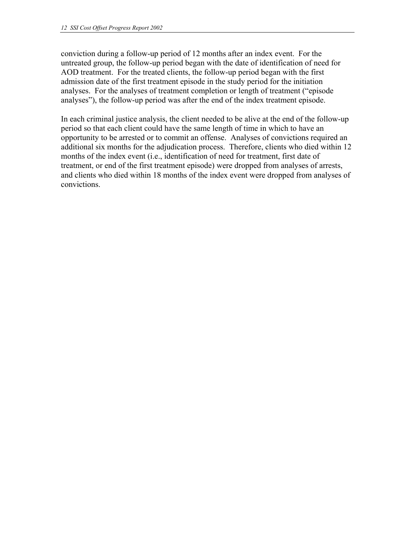conviction during a follow-up period of 12 months after an index event. For the untreated group, the follow-up period began with the date of identification of need for AOD treatment. For the treated clients, the follow-up period began with the first admission date of the first treatment episode in the study period for the initiation analyses. For the analyses of treatment completion or length of treatment ("episode analyses"), the follow-up period was after the end of the index treatment episode.

In each criminal justice analysis, the client needed to be alive at the end of the follow-up period so that each client could have the same length of time in which to have an opportunity to be arrested or to commit an offense. Analyses of convictions required an additional six months for the adjudication process. Therefore, clients who died within 12 months of the index event (i.e., identification of need for treatment, first date of treatment, or end of the first treatment episode) were dropped from analyses of arrests, and clients who died within 18 months of the index event were dropped from analyses of convictions.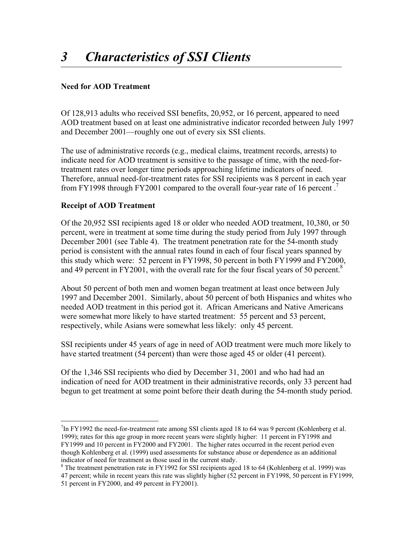## **Need for AOD Treatment**

Of 128,913 adults who received SSI benefits, 20,952, or 16 percent, appeared to need AOD treatment based on at least one administrative indicator recorded between July 1997 and December 2001—roughly one out of every six SSI clients.

The use of administrative records (e.g., medical claims, treatment records, arrests) to indicate need for AOD treatment is sensitive to the passage of time, with the need-fortreatment rates over longer time periods approaching lifetime indicators of need. Therefore, annual need-for-treatment rates for SSI recipients was 8 percent in each year from FY1998 through FY2001 compared to the overall four-year rate of 16 percent .7

## **Receipt of AOD Treatment**

 $\overline{a}$ 

Of the 20,952 SSI recipients aged 18 or older who needed AOD treatment, 10,380, or 50 percent, were in treatment at some time during the study period from July 1997 through December 2001 (see Table 4). The treatment penetration rate for the 54-month study period is consistent with the annual rates found in each of four fiscal years spanned by this study which were: 52 percent in FY1998, 50 percent in both FY1999 and FY2000, and 49 percent in FY2001, with the overall rate for the four fiscal years of 50 percent. $8$ 

About 50 percent of both men and women began treatment at least once between July 1997 and December 2001. Similarly, about 50 percent of both Hispanics and whites who needed AOD treatment in this period got it. African Americans and Native Americans were somewhat more likely to have started treatment: 55 percent and 53 percent, respectively, while Asians were somewhat less likely: only 45 percent.

SSI recipients under 45 years of age in need of AOD treatment were much more likely to have started treatment (54 percent) than were those aged 45 or older (41 percent).

Of the 1,346 SSI recipients who died by December 31, 2001 and who had had an indication of need for AOD treatment in their administrative records, only 33 percent had begun to get treatment at some point before their death during the 54-month study period.

 $7$ In FY1992 the need-for-treatment rate among SSI clients aged 18 to 64 was 9 percent (Kohlenberg et al. 1999); rates for this age group in more recent years were slightly higher: 11 percent in FY1998 and FY1999 and 10 percent in FY2000 and FY2001. The higher rates occurred in the recent period even though Kohlenberg et al. (1999) used assessments for substance abuse or dependence as an additional indicator of need for treatment as those used in the current study.

<sup>&</sup>lt;sup>8</sup> The treatment penetration rate in FY1992 for SSI recipients aged 18 to 64 (Kohlenberg et al. 1999) was

<sup>47</sup> percent; while in recent years this rate was slightly higher (52 percent in FY1998, 50 percent in FY1999, 51 percent in FY2000, and 49 percent in FY2001).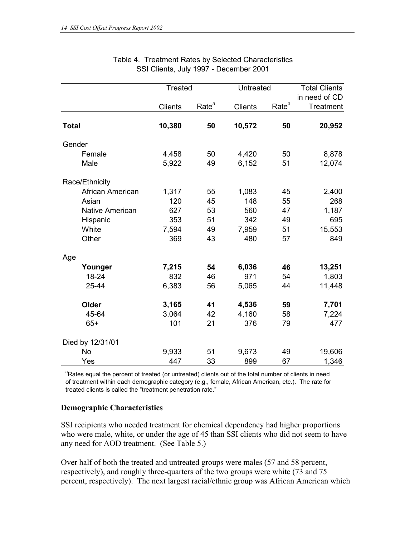|                  | <b>Treated</b> |                   | Untreated      |                   | <b>Total Clients</b> |
|------------------|----------------|-------------------|----------------|-------------------|----------------------|
|                  |                |                   |                |                   | in need of CD        |
|                  | <b>Clients</b> | Rate <sup>a</sup> | <b>Clients</b> | Rate <sup>a</sup> | <b>Treatment</b>     |
| <b>Total</b>     | 10,380         | 50                | 10,572         | 50                | 20,952               |
| Gender           |                |                   |                |                   |                      |
| Female           | 4,458          | 50                | 4,420          | 50                | 8,878                |
| Male             | 5,922          | 49                | 6,152          | 51                | 12,074               |
| Race/Ethnicity   |                |                   |                |                   |                      |
| African American | 1,317          | 55                | 1,083          | 45                | 2,400                |
| Asian            | 120            | 45                | 148            | 55                | 268                  |
| Native American  | 627            | 53                | 560            | 47                | 1,187                |
| Hispanic         | 353            | 51                | 342            | 49                | 695                  |
| White            | 7,594          | 49                | 7,959          | 51                | 15,553               |
| Other            | 369            | 43                | 480            | 57                | 849                  |
| Age              |                |                   |                |                   |                      |
| Younger          | 7,215          | 54                | 6,036          | 46                | 13,251               |
| $18 - 24$        | 832            | 46                | 971            | 54                | 1,803                |
| 25-44            | 6,383          | 56                | 5,065          | 44                | 11,448               |
| Older            | 3,165          | 41                | 4,536          | 59                | 7,701                |
| 45-64            | 3,064          | 42                | 4,160          | 58                | 7,224                |
| $65+$            | 101            | 21                | 376            | 79                | 477                  |
| Died by 12/31/01 |                |                   |                |                   |                      |
| <b>No</b>        | 9,933          | 51                | 9,673          | 49                | 19,606               |
| Yes              | 447            | 33                | 899            | 67                | 1,346                |

## Table 4. Treatment Rates by Selected Characteristics SSI Clients, July 1997 - December 2001

<sup>a</sup>Rates equal the percent of treated (or untreated) clients out of the total number of clients in need of treatment within each demographic category (e.g., female, African American, etc.). The rate for treated clients is called the "treatment penetration rate."

## **Demographic Characteristics**

SSI recipients who needed treatment for chemical dependency had higher proportions who were male, white, or under the age of 45 than SSI clients who did not seem to have any need for AOD treatment. (See Table 5.)

Over half of both the treated and untreated groups were males (57 and 58 percent, respectively), and roughly three-quarters of the two groups were white (73 and 75 percent, respectively). The next largest racial/ethnic group was African American which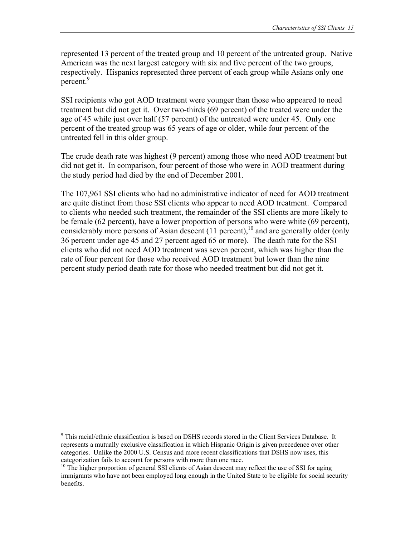represented 13 percent of the treated group and 10 percent of the untreated group. Native American was the next largest category with six and five percent of the two groups, respectively. Hispanics represented three percent of each group while Asians only one percent.<sup>9</sup>

SSI recipients who got AOD treatment were younger than those who appeared to need treatment but did not get it. Over two-thirds (69 percent) of the treated were under the age of 45 while just over half (57 percent) of the untreated were under 45. Only one percent of the treated group was 65 years of age or older, while four percent of the untreated fell in this older group.

The crude death rate was highest (9 percent) among those who need AOD treatment but did not get it. In comparison, four percent of those who were in AOD treatment during the study period had died by the end of December 2001.

The 107,961 SSI clients who had no administrative indicator of need for AOD treatment are quite distinct from those SSI clients who appear to need AOD treatment. Compared to clients who needed such treatment, the remainder of the SSI clients are more likely to be female (62 percent), have a lower proportion of persons who were white (69 percent), considerably more persons of Asian descent  $(11 \text{ percent})$ ,<sup>10</sup> and are generally older (only 36 percent under age 45 and 27 percent aged 65 or more). The death rate for the SSI clients who did not need AOD treatment was seven percent, which was higher than the rate of four percent for those who received AOD treatment but lower than the nine percent study period death rate for those who needed treatment but did not get it.

 $\overline{a}$ 

<sup>&</sup>lt;sup>9</sup> This racial/ethnic classification is based on DSHS records stored in the Client Services Database. It represents a mutually exclusive classification in which Hispanic Origin is given precedence over other categories. Unlike the 2000 U.S. Census and more recent classifications that DSHS now uses, this

<sup>&</sup>lt;sup>10</sup> The higher proportion of general SSI clients of Asian descent may reflect the use of SSI for aging immigrants who have not been employed long enough in the United State to be eligible for social security benefits.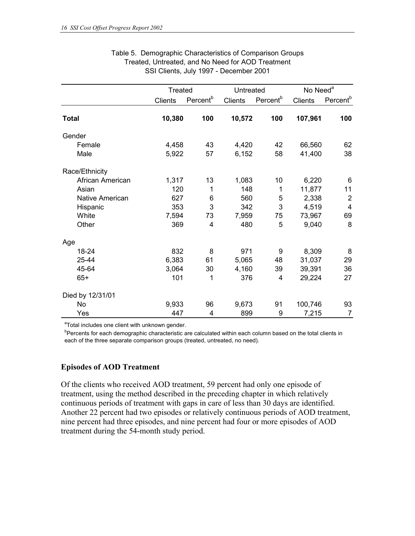|                        | Treated |                      |                | Untreated            |                | No Need <sup>a</sup> |
|------------------------|---------|----------------------|----------------|----------------------|----------------|----------------------|
|                        | Clients | Percent <sup>b</sup> | <b>Clients</b> | Percent <sup>b</sup> | <b>Clients</b> | Percent <sup>b</sup> |
| <b>Total</b>           | 10,380  | 100                  | 10,572         | 100                  | 107,961        | 100                  |
| Gender                 |         |                      |                |                      |                |                      |
| Female                 | 4,458   | 43                   | 4,420          | 42                   | 66,560         | 62                   |
| Male                   | 5,922   | 57                   | 6,152          | 58                   | 41,400         | 38                   |
| Race/Ethnicity         |         |                      |                |                      |                |                      |
| African American       | 1,317   | 13                   | 1,083          | 10                   | 6,220          | 6                    |
| Asian                  | 120     | 1                    | 148            | 1                    | 11,877         | 11                   |
| <b>Native American</b> | 627     | 6                    | 560            | 5                    | 2,338          | $\overline{2}$       |
| Hispanic               | 353     | 3                    | 342            | 3                    | 4,519          | $\overline{4}$       |
| White                  | 7,594   | 73                   | 7,959          | 75                   | 73,967         | 69                   |
| Other                  | 369     | 4                    | 480            | 5                    | 9,040          | 8                    |
| Age                    |         |                      |                |                      |                |                      |
| 18-24                  | 832     | 8                    | 971            | 9                    | 8,309          | 8                    |
| 25-44                  | 6,383   | 61                   | 5,065          | 48                   | 31,037         | 29                   |
| 45-64                  | 3,064   | 30                   | 4,160          | 39                   | 39,391         | 36                   |
| $65+$                  | 101     | 1                    | 376            | 4                    | 29,224         | 27                   |
| Died by 12/31/01       |         |                      |                |                      |                |                      |
| No                     | 9,933   | 96                   | 9,673          | 91                   | 100,746        | 93                   |
| Yes                    | 447     | 4                    | 899            | 9                    | 7,215          | $\overline{7}$       |

#### Table 5. Demographic Characteristics of Comparison Groups Treated, Untreated, and No Need for AOD Treatment SSI Clients, July 1997 - December 2001

<sup>a</sup>Total includes one client with unknown gender.

<sup>b</sup>Percents for each demographic characteristic are calculated within each column based on the total clients in each of the three separate comparison groups (treated, untreated, no need).

#### **Episodes of AOD Treatment**

Of the clients who received AOD treatment, 59 percent had only one episode of treatment, using the method described in the preceding chapter in which relatively continuous periods of treatment with gaps in care of less than 30 days are identified. Another 22 percent had two episodes or relatively continuous periods of AOD treatment, nine percent had three episodes, and nine percent had four or more episodes of AOD treatment during the 54-month study period.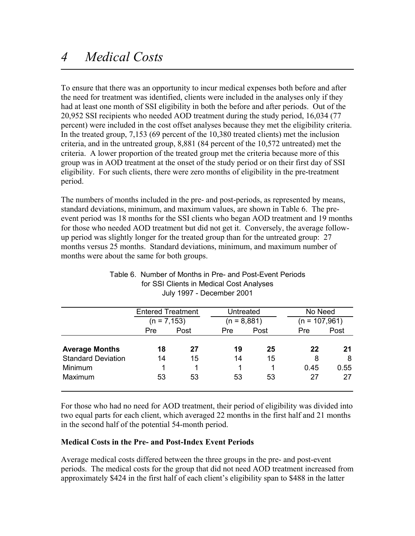To ensure that there was an opportunity to incur medical expenses both before and after the need for treatment was identified, clients were included in the analyses only if they had at least one month of SSI eligibility in both the before and after periods. Out of the 20,952 SSI recipients who needed AOD treatment during the study period, 16,034 (77 percent) were included in the cost offset analyses because they met the eligibility criteria. In the treated group, 7,153 (69 percent of the 10,380 treated clients) met the inclusion criteria, and in the untreated group, 8,881 (84 percent of the 10,572 untreated) met the criteria. A lower proportion of the treated group met the criteria because more of this group was in AOD treatment at the onset of the study period or on their first day of SSI eligibility. For such clients, there were zero months of eligibility in the pre-treatment period.

The numbers of months included in the pre- and post-periods, as represented by means, standard deviations, minimum, and maximum values, are shown in Table 6. The preevent period was 18 months for the SSI clients who began AOD treatment and 19 months for those who needed AOD treatment but did not get it. Conversely, the average followup period was slightly longer for the treated group than for the untreated group: 27 months versus 25 months. Standard deviations, minimum, and maximum number of months were about the same for both groups.

|                           | <b>Entered Treatment</b> |      |            | Untreated     |            | No Need         |  |
|---------------------------|--------------------------|------|------------|---------------|------------|-----------------|--|
|                           | $(n = 7, 153)$           |      |            | $(n = 8,881)$ |            | $(n = 107,961)$ |  |
|                           | <b>Pre</b>               | Post | <b>Pre</b> | Post          | <b>Pre</b> | Post            |  |
| <b>Average Months</b>     | 18                       | 27   | 19         | 25            | 22         | 21              |  |
| <b>Standard Deviation</b> | 14                       | 15   | 14         | 15            | 8          | 8               |  |
| Minimum                   | 1                        |      |            |               | 0.45       | 0.55            |  |
| Maximum                   | 53                       | 53   | 53         | 53            | 27         | 27              |  |

## Table 6. Number of Months in Pre- and Post-Event Periods for SSI Clients in Medical Cost Analyses July 1997 - December 2001

For those who had no need for AOD treatment, their period of eligibility was divided into two equal parts for each client, which averaged 22 months in the first half and 21 months in the second half of the potential 54-month period.

## **Medical Costs in the Pre- and Post-Index Event Periods**

Average medical costs differed between the three groups in the pre- and post-event periods. The medical costs for the group that did not need AOD treatment increased from approximately \$424 in the first half of each client's eligibility span to \$488 in the latter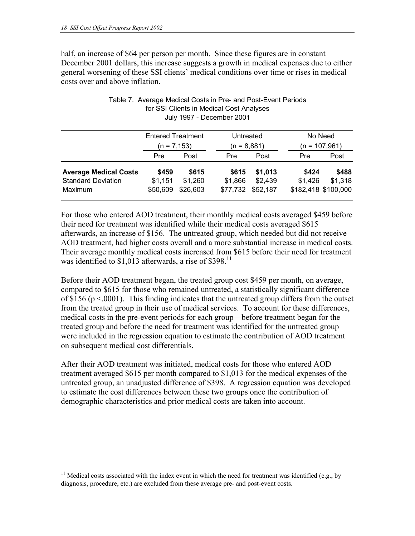$\overline{a}$ 

half, an increase of \$64 per person per month. Since these figures are in constant December 2001 dollars, this increase suggests a growth in medical expenses due to either general worsening of these SSI clients' medical conditions over time or rises in medical costs over and above inflation.

|                                                                      | <b>Entered Treatment</b><br>$(n = 7, 153)$ |                              | Untreated<br>$(n = 8,881)$   |                                |                  | No Need<br>$(n = 107,961)$              |
|----------------------------------------------------------------------|--------------------------------------------|------------------------------|------------------------------|--------------------------------|------------------|-----------------------------------------|
|                                                                      | <b>Pre</b>                                 | Post                         | Pre                          | Post                           | <b>Pre</b>       | Post                                    |
| <b>Average Medical Costs</b><br><b>Standard Deviation</b><br>Maximum | \$459<br>\$1,151<br>\$50,609               | \$615<br>\$1,260<br>\$26,603 | \$615<br>\$1,866<br>\$77,732 | \$1,013<br>\$2,439<br>\$52,187 | \$424<br>\$1,426 | \$488<br>\$1,318<br>\$182,418 \$100,000 |

#### Table 7. Average Medical Costs in Pre- and Post-Event Periods for SSI Clients in Medical Cost Analyses July 1997 - December 2001

For those who entered AOD treatment, their monthly medical costs averaged \$459 before their need for treatment was identified while their medical costs averaged \$615 afterwards, an increase of \$156. The untreated group, which needed but did not receive AOD treatment, had higher costs overall and a more substantial increase in medical costs. Their average monthly medical costs increased from \$615 before their need for treatment was identified to  $$1,013$  afterwards, a rise of  $$398$ <sup>11</sup>

Before their AOD treatment began, the treated group cost \$459 per month, on average, compared to \$615 for those who remained untreated, a statistically significant difference of \$156 ( $p \le 0.0001$ ). This finding indicates that the untreated group differs from the outset from the treated group in their use of medical services. To account for these differences, medical costs in the pre-event periods for each group—before treatment began for the treated group and before the need for treatment was identified for the untreated group were included in the regression equation to estimate the contribution of AOD treatment on subsequent medical cost differentials.

After their AOD treatment was initiated, medical costs for those who entered AOD treatment averaged \$615 per month compared to \$1,013 for the medical expenses of the untreated group, an unadjusted difference of \$398. A regression equation was developed to estimate the cost differences between these two groups once the contribution of demographic characteristics and prior medical costs are taken into account.

<sup>&</sup>lt;sup>11</sup> Medical costs associated with the index event in which the need for treatment was identified (e.g., by diagnosis, procedure, etc.) are excluded from these average pre- and post-event costs.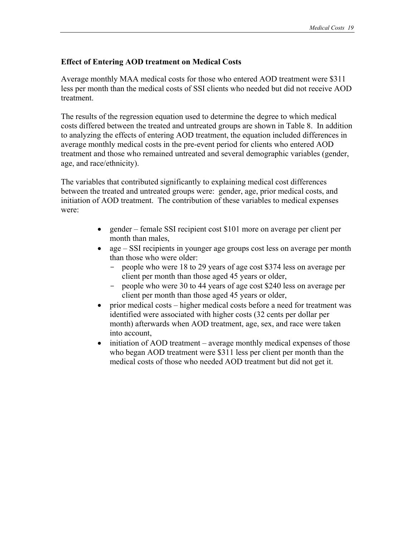## **Effect of Entering AOD treatment on Medical Costs**

Average monthly MAA medical costs for those who entered AOD treatment were \$311 less per month than the medical costs of SSI clients who needed but did not receive AOD treatment.

The results of the regression equation used to determine the degree to which medical costs differed between the treated and untreated groups are shown in Table 8. In addition to analyzing the effects of entering AOD treatment, the equation included differences in average monthly medical costs in the pre-event period for clients who entered AOD treatment and those who remained untreated and several demographic variables (gender, age, and race/ethnicity).

The variables that contributed significantly to explaining medical cost differences between the treated and untreated groups were: gender, age, prior medical costs, and initiation of AOD treatment. The contribution of these variables to medical expenses were:

- gender female SSI recipient cost \$101 more on average per client per month than males,
- age SSI recipients in younger age groups cost less on average per month than those who were older:
	- people who were 18 to 29 years of age cost \$374 less on average per client per month than those aged 45 years or older,
	- people who were 30 to 44 years of age cost \$240 less on average per client per month than those aged 45 years or older,
- prior medical costs higher medical costs before a need for treatment was identified were associated with higher costs (32 cents per dollar per month) afterwards when AOD treatment, age, sex, and race were taken into account,
- initiation of AOD treatment average monthly medical expenses of those who began AOD treatment were \$311 less per client per month than the medical costs of those who needed AOD treatment but did not get it.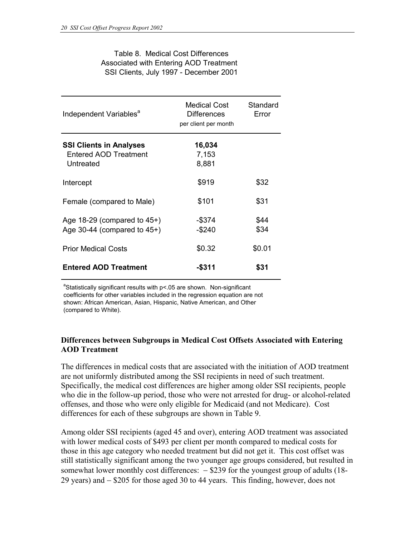| Table 8. Medical Cost Differences      |
|----------------------------------------|
| Associated with Entering AOD Treatment |
| SSI Clients, July 1997 - December 2001 |

| Independent Variables <sup>a</sup>                                   | <b>Medical Cost</b><br>Differences<br>per client per month | Standard<br>Error |
|----------------------------------------------------------------------|------------------------------------------------------------|-------------------|
| <b>SSI Clients in Analyses</b><br>Entered AOD Treatment<br>Untreated | 16,034<br>7,153<br>8,881                                   |                   |
| Intercept                                                            | \$919                                                      | \$32              |
| Female (compared to Male)                                            | \$101                                                      | \$31              |
| Age $18-29$ (compared to $45+)$<br>Age 30-44 (compared to $45+$ )    | $-$ \$374<br>$-$ \$240                                     | \$44<br>\$34      |
| <b>Prior Medical Costs</b>                                           | \$0.32                                                     | \$0.01            |
| <b>Entered AOD Treatment</b>                                         | -\$311                                                     | \$31              |

<sup>a</sup>Statistically significant results with  $p<0.05$  are shown. Non-significant coefficients for other variables included in the regression equation are not shown: African American, Asian, Hispanic, Native American, and Other (compared to White).

### **Differences between Subgroups in Medical Cost Offsets Associated with Entering AOD Treatment**

The differences in medical costs that are associated with the initiation of AOD treatment are not uniformly distributed among the SSI recipients in need of such treatment. Specifically, the medical cost differences are higher among older SSI recipients, people who die in the follow-up period, those who were not arrested for drug- or alcohol-related offenses, and those who were only eligible for Medicaid (and not Medicare). Cost differences for each of these subgroups are shown in Table 9.

Among older SSI recipients (aged 45 and over), entering AOD treatment was associated with lower medical costs of \$493 per client per month compared to medical costs for those in this age category who needed treatment but did not get it. This cost offset was still statistically significant among the two younger age groups considered, but resulted in somewhat lower monthly cost differences:  $-$  \$239 for the youngest group of adults (18-29 years) and − \$205 for those aged 30 to 44 years. This finding, however, does not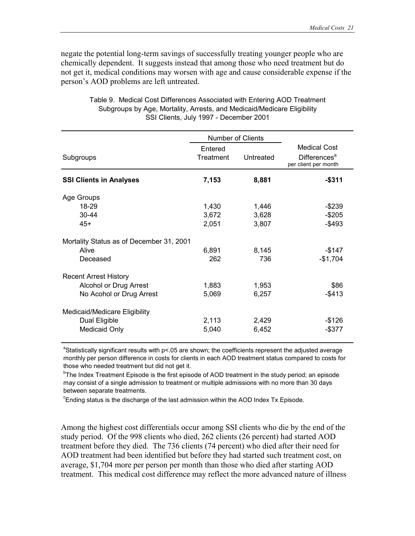negate the potential long-term savings of successfully treating younger people who are chemically dependent. It suggests instead that among those who need treatment but do not get it, medical conditions may worsen with age and cause considerable expense if the person's AOD problems are left untreated.

|                                          |                      | Number of Clients |                                                                         |  |
|------------------------------------------|----------------------|-------------------|-------------------------------------------------------------------------|--|
| Subgroups                                | Entered<br>Treatment | Untreated         | <b>Medical Cost</b><br>Differences <sup>a</sup><br>per client per month |  |
| <b>SSI Clients in Analyses</b>           | 7,153                | 8,881             | $-$311$                                                                 |  |
| Age Groups                               |                      |                   |                                                                         |  |
| 18-29                                    | 1,430                | 1,446             | $-$ \$239                                                               |  |
| $30 - 44$                                | 3,672                | 3,628             | $-$ \$205                                                               |  |
| $45+$                                    | 2,051                | 3,807             | $-$ \$493                                                               |  |
| Mortality Status as of December 31, 2001 |                      |                   |                                                                         |  |
| Alive                                    | 6,891                | 8,145             | $-$147$                                                                 |  |
| Deceased                                 | 262                  | 736               | $-$1,704$                                                               |  |
| <b>Recent Arrest History</b>             |                      |                   |                                                                         |  |
| Alcohol or Drug Arrest                   | 1,883                | 1,953             | \$86                                                                    |  |
| No Acohol or Drug Arrest                 | 5,069                | 6,257             | $-$ \$413                                                               |  |
| Medicaid/Medicare Eligibility            |                      |                   |                                                                         |  |
| Dual Eligible                            | 2,113                | 2,429             | $-$ \$126                                                               |  |
| Medicaid Only                            | 5,040                | 6,452             | $-$ \$377                                                               |  |

Table 9. Medical Cost Differences Associated with Entering AOD Treatment Subgroups by Age, Mortality, Arrests, and Medicaid/Medicare Eligibility SSI Clients, July 1997 - December 2001

<sup>a</sup>Statistically significant results with p<.05 are shown; the coefficients represent the adjusted average monthly per person difference in costs for clients in each AOD treatment status compared to costs for those who needed treatment but did not get it.

<sup>b</sup>The Index Treatment Episode is the first episode of AOD treatment in the study period; an episode may consist of a single admission to treatment or multiple admissions with no more than 30 days between separate treatments.

 $\textdegree$ Ending status is the discharge of the last admission within the AOD Index Tx Episode.

Among the highest cost differentials occur among SSI clients who die by the end of the study period. Of the 998 clients who died, 262 clients (26 percent) had started AOD treatment before they died. The 736 clients (74 percent) who died after their need for AOD treatment had been identified but before they had started such treatment cost, on average, \$1,704 more per person per month than those who died after starting AOD treatment. This medical cost difference may reflect the more advanced nature of illness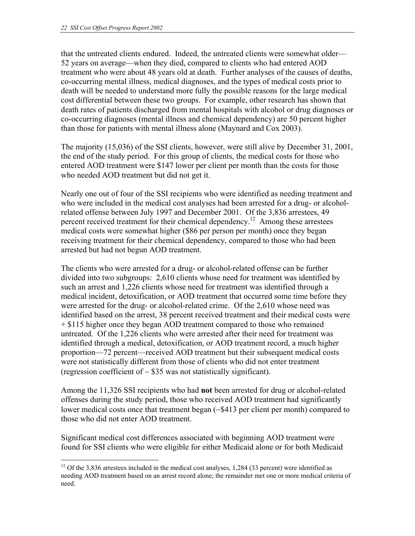that the untreated clients endured. Indeed, the untreated clients were somewhat older— 52 years on average—when they died, compared to clients who had entered AOD treatment who were about 48 years old at death. Further analyses of the causes of deaths, co-occurring mental illness, medical diagnoses, and the types of medical costs prior to death will be needed to understand more fully the possible reasons for the large medical cost differential between these two groups. For example, other research has shown that death rates of patients discharged from mental hospitals with alcohol or drug diagnoses or co-occurring diagnoses (mental illness and chemical dependency) are 50 percent higher than those for patients with mental illness alone (Maynard and Cox 2003).

The majority (15,036) of the SSI clients, however, were still alive by December 31, 2001, the end of the study period. For this group of clients, the medical costs for those who entered AOD treatment were \$147 lower per client per month than the costs for those who needed AOD treatment but did not get it.

Nearly one out of four of the SSI recipients who were identified as needing treatment and who were included in the medical cost analyses had been arrested for a drug- or alcoholrelated offense between July 1997 and December 2001. Of the 3,836 arrestees, 49 percent received treatment for their chemical dependency.12 Among these arrestees medical costs were somewhat higher (\$86 per person per month) once they began receiving treatment for their chemical dependency, compared to those who had been arrested but had not begun AOD treatment.

The clients who were arrested for a drug- or alcohol-related offense can be further divided into two subgroups: 2,610 clients whose need for treatment was identified by such an arrest and 1,226 clients whose need for treatment was identified through a medical incident, detoxification, or AOD treatment that occurred some time before they were arrested for the drug- or alcohol-related crime. Of the 2,610 whose need was identified based on the arrest, 38 percent received treatment and their medical costs were + \$115 higher once they began AOD treatment compared to those who remained untreated. Of the 1,226 clients who were arrested after their need for treatment was identified through a medical, detoxification, or AOD treatment record, a much higher proportion—72 percent—received AOD treatment but their subsequent medical costs were not statistically different from those of clients who did not enter treatment (regression coefficient of − \$35 was not statistically significant).

Among the 11,326 SSI recipients who had **not** been arrested for drug or alcohol-related offenses during the study period, those who received AOD treatment had significantly lower medical costs once that treatment began (−\$413 per client per month) compared to those who did not enter AOD treatment.

Significant medical cost differences associated with beginning AOD treatment were found for SSI clients who were eligible for either Medicaid alone or for both Medicaid

 $\overline{a}$ <sup>12</sup> Of the 3,836 arrestees included in the medical cost analyses, 1,284 (33 percent) were identified as needing AOD treatment based on an arrest record alone; the remainder met one or more medical criteria of need.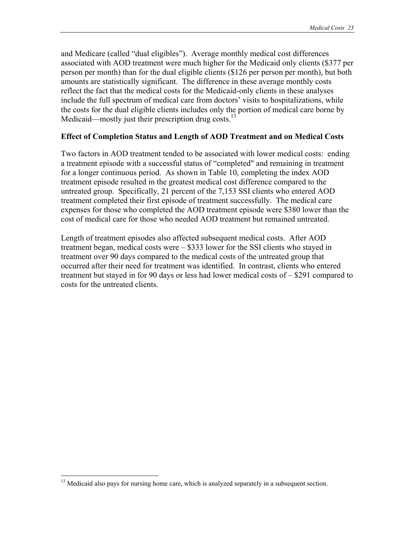and Medicare (called "dual eligibles"). Average monthly medical cost differences associated with AOD treatment were much higher for the Medicaid only clients (\$377 per person per month) than for the dual eligible clients (\$126 per person per month), but both amounts are statistically significant. The difference in these average monthly costs reflect the fact that the medical costs for the Medicaid-only clients in these analyses include the full spectrum of medical care from doctors' visits to hospitalizations, while the costs for the dual eligible clients includes only the portion of medical care borne by Medicaid—mostly just their prescription drug costs.<sup>13</sup>

# **Effect of Completion Status and Length of AOD Treatment and on Medical Costs**

Two factors in AOD treatment tended to be associated with lower medical costs: ending a treatment episode with a successful status of "completed" and remaining in treatment for a longer continuous period. As shown in Table 10, completing the index AOD treatment episode resulted in the greatest medical cost difference compared to the untreated group. Specifically, 21 percent of the 7,153 SSI clients who entered AOD treatment completed their first episode of treatment successfully. The medical care expenses for those who completed the AOD treatment episode were \$380 lower than the cost of medical care for those who needed AOD treatment but remained untreated.

Length of treatment episodes also affected subsequent medical costs. After AOD treatment began, medical costs were – \$333 lower for the SSI clients who stayed in treatment over 90 days compared to the medical costs of the untreated group that occurred after their need for treatment was identified. In contrast, clients who entered treatment but stayed in for 90 days or less had lower medical costs of – \$291 compared to costs for the untreated clients.

 $\overline{a}$ 

<sup>&</sup>lt;sup>13</sup> Medicaid also pays for nursing home care, which is analyzed separately in a subsequent section.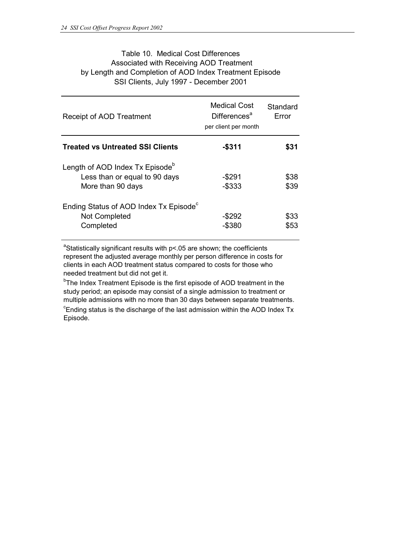### Table 10. Medical Cost Differences by Length and Completion of AOD Index Treatment Episode SSI Clients, July 1997 - December 2001 Associated with Receiving AOD Treatment

| Receipt of AOD Treatment                                                                          | Medical Cost<br>Differences <sup>a</sup><br>per client per month | Standard<br>Error |
|---------------------------------------------------------------------------------------------------|------------------------------------------------------------------|-------------------|
| <b>Treated vs Untreated SSI Clients</b>                                                           | $-$ \$311                                                        | \$31              |
| Length of AOD Index Tx Episode <sup>b</sup><br>Less than or equal to 90 days<br>More than 90 days | $-$ \$291<br>$-$ \$333                                           | \$38<br>\$39      |
| Ending Status of AOD Index Tx Episode <sup>c</sup><br>Not Completed<br>Completed                  | -\$292<br>$-$ \$380                                              | \$33<br>\$53      |

<sup>a</sup>Statistically significant results with p<.05 are shown; the coefficients represent the adjusted average monthly per person difference in costs for clients in each AOD treatment status compared to costs for those who needed treatment but did not get it.

<sup>b</sup>The Index Treatment Episode is the first episode of AOD treatment in the study period; an episode may consist of a single admission to treatment or multiple admissions with no more than 30 days between separate treatments.

<sup>c</sup>Ending status is the discharge of the last admission within the AOD Index Tx Episode.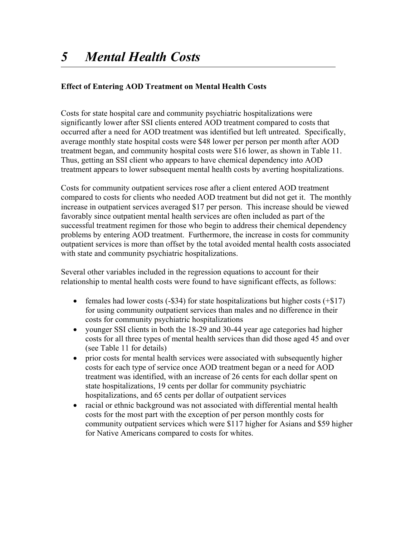# **Effect of Entering AOD Treatment on Mental Health Costs**

Costs for state hospital care and community psychiatric hospitalizations were significantly lower after SSI clients entered AOD treatment compared to costs that occurred after a need for AOD treatment was identified but left untreated. Specifically, average monthly state hospital costs were \$48 lower per person per month after AOD treatment began, and community hospital costs were \$16 lower, as shown in Table 11. Thus, getting an SSI client who appears to have chemical dependency into AOD treatment appears to lower subsequent mental health costs by averting hospitalizations.

Costs for community outpatient services rose after a client entered AOD treatment compared to costs for clients who needed AOD treatment but did not get it. The monthly increase in outpatient services averaged \$17 per person. This increase should be viewed favorably since outpatient mental health services are often included as part of the successful treatment regimen for those who begin to address their chemical dependency problems by entering AOD treatment. Furthermore, the increase in costs for community outpatient services is more than offset by the total avoided mental health costs associated with state and community psychiatric hospitalizations.

Several other variables included in the regression equations to account for their relationship to mental health costs were found to have significant effects, as follows:

- females had lower costs  $(-\$34)$  for state hospitalizations but higher costs  $(+\$17)$ for using community outpatient services than males and no difference in their costs for community psychiatric hospitalizations
- younger SSI clients in both the 18-29 and 30-44 year age categories had higher costs for all three types of mental health services than did those aged 45 and over (see Table 11 for details)
- prior costs for mental health services were associated with subsequently higher costs for each type of service once AOD treatment began or a need for AOD treatment was identified, with an increase of 26 cents for each dollar spent on state hospitalizations, 19 cents per dollar for community psychiatric hospitalizations, and 65 cents per dollar of outpatient services
- racial or ethnic background was not associated with differential mental health costs for the most part with the exception of per person monthly costs for community outpatient services which were \$117 higher for Asians and \$59 higher for Native Americans compared to costs for whites.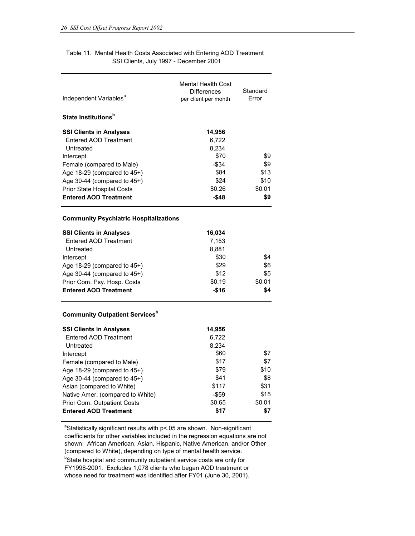#### Table 11. Mental Health Costs Associated with Entering AOD Treatment SSI Clients, July 1997 - December 2001

| Independent Variables <sup>a</sup>                               | <b>Mental Health Cost</b><br><b>Differences</b><br>per client per month | Standard<br>Error |
|------------------------------------------------------------------|-------------------------------------------------------------------------|-------------------|
| State Institutions <sup>b</sup>                                  |                                                                         |                   |
| <b>SSI Clients in Analyses</b>                                   | 14,956                                                                  |                   |
| Entered AOD Treatment                                            | 6.722                                                                   |                   |
| Untreated                                                        | 8,234                                                                   |                   |
| Intercept                                                        | \$70                                                                    | \$9               |
| Female (compared to Male)                                        | $-$ \$34                                                                | \$9               |
| Age 18-29 (compared to 45+)                                      | \$84<br>\$24                                                            | \$13<br>\$10      |
| Age 30-44 (compared to 45+)<br><b>Prior State Hospital Costs</b> | \$0.26                                                                  | \$0.01            |
| <b>Entered AOD Treatment</b>                                     | $-$48$                                                                  | \$9               |
| <b>Community Psychiatric Hospitalizations</b>                    |                                                                         |                   |
| <b>SSI Clients in Analyses</b>                                   | 16,034                                                                  |                   |
| Entered AOD Treatment                                            | 7,153                                                                   |                   |
| Untreated                                                        | 8,881                                                                   |                   |
| Intercept                                                        | \$30                                                                    | \$4               |
| Age $18-29$ (compared to $45+)$                                  | \$29                                                                    | \$6               |
| Age 30-44 (compared to $45+$ )                                   | \$12                                                                    | \$5               |
| Prior Com. Psy. Hosp. Costs                                      | \$0.19                                                                  | \$0.01            |
| <b>Entered AOD Treatment</b>                                     | $-$16$                                                                  | \$4               |
| <b>Community Outpatient Services</b> <sup>b</sup>                |                                                                         |                   |
| <b>SSI Clients in Analyses</b>                                   | 14,956                                                                  |                   |
| Entered AOD Treatment                                            | 6,722                                                                   |                   |
| Untreated                                                        | 8.234                                                                   |                   |
| Intercept                                                        | \$60                                                                    | \$7               |
| Female (compared to Male)                                        | \$17                                                                    | \$7               |
| Age 18-29 (compared to 45+)                                      | \$79                                                                    | \$10              |
| Age 30-44 (compared to $45+$ )                                   | \$41                                                                    | \$8               |
| Asian (compared to White)                                        | \$117                                                                   | \$31              |
| Native Amer. (compared to White)                                 | $-$ \$59                                                                | \$15              |
| Prior Com. Outpatient Costs                                      | \$0.65                                                                  | \$0.01            |
| <b>Entered AOD Treatment</b>                                     | \$17                                                                    | \$7               |

 $\textsuperscript{a}$ Statistically significant results with p<.05 are shown. Non-significant coefficients for other variables included in the regression equations are not shown: African American, Asian, Hispanic, Native American, and/or Other (compared to White), depending on type of mental health service.

<sup>b</sup>State hospital and community outpatient service costs are only for FY1998-2001. Excludes 1,078 clients who began AOD treatment or whose need for treatment was identified after FY01 (June 30, 2001).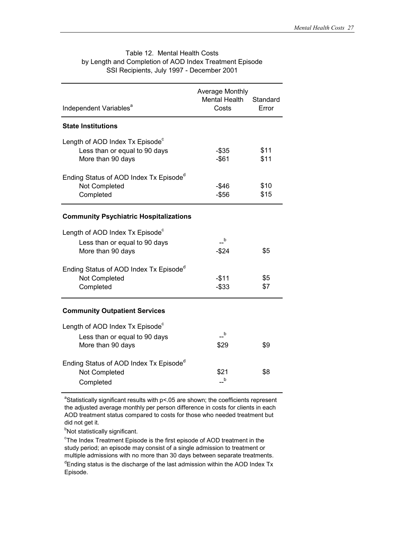| Independent Variables <sup>a</sup>                                                                | Average Monthly<br>Mental Health<br>Costs | Standard<br>Error |
|---------------------------------------------------------------------------------------------------|-------------------------------------------|-------------------|
| <b>State Institutions</b>                                                                         |                                           |                   |
| Length of AOD Index Tx Episode <sup>c</sup><br>Less than or equal to 90 days<br>More than 90 days | -\$35<br>$-$ \$61                         | \$11<br>\$11      |
| Ending Status of AOD Index Tx Episode <sup>d</sup><br>Not Completed<br>Completed                  | -\$46<br>$-$ \$56                         | \$10<br>\$15      |
| <b>Community Psychiatric Hospitalizations</b>                                                     |                                           |                   |
| Length of AOD Index Tx Episode <sup>c</sup>                                                       |                                           |                   |
| Less than or equal to 90 days<br>More than 90 days                                                | $-$ <sub>b</sub><br>$-$ \$24              | \$5               |
| Ending Status of AOD Index Tx Episode <sup>d</sup><br>Not Completed<br>Completed                  | $-$11$<br>$-$ \$33                        | \$5<br>\$7        |
| <b>Community Outpatient Services</b>                                                              |                                           |                   |
| Length of AOD Index Tx Episode <sup>c</sup><br>Less than or equal to 90 days<br>More than 90 days | $\overline{a}$<br>\$29                    | \$9               |
| Ending Status of AOD Index Tx Episode <sup>d</sup><br>Not Completed<br>Completed                  | \$21<br>$-$ <sub>b</sub>                  | \$8               |

#### Table 12. Mental Health Costs by Length and Completion of AOD Index Treatment Episode SSI Recipients, July 1997 - December 2001

<sup>a</sup>Statistically significant results with  $p$ <.05 are shown; the coefficients represent the adjusted average monthly per person difference in costs for clients in each AOD treatment status compared to costs for those who needed treatment but did not get it.

<sup>b</sup>Not statistically significant.

 $\mathrm{c}_{\mathsf{T}}$ he Index Treatment Episode is the first episode of AOD treatment in the study period; an episode may consist of a single admission to treatment or multiple admissions with no more than 30 days between separate treatments. <sup>d</sup>Ending status is the discharge of the last admission within the AOD Index Tx Episode.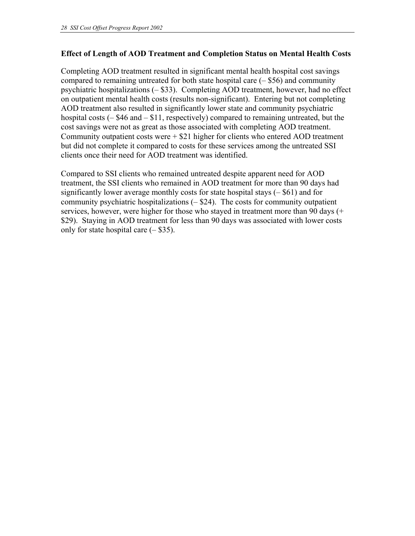# **Effect of Length of AOD Treatment and Completion Status on Mental Health Costs**

Completing AOD treatment resulted in significant mental health hospital cost savings compared to remaining untreated for both state hospital care  $(-\$56)$  and community psychiatric hospitalizations (– \$33). Completing AOD treatment, however, had no effect on outpatient mental health costs (results non-significant). Entering but not completing AOD treatment also resulted in significantly lower state and community psychiatric hospital costs (– \$46 and – \$11, respectively) compared to remaining untreated, but the cost savings were not as great as those associated with completing AOD treatment. Community outpatient costs were  $+$  \$21 higher for clients who entered AOD treatment but did not complete it compared to costs for these services among the untreated SSI clients once their need for AOD treatment was identified.

Compared to SSI clients who remained untreated despite apparent need for AOD treatment, the SSI clients who remained in AOD treatment for more than 90 days had significantly lower average monthly costs for state hospital stays  $(-\$61)$  and for community psychiatric hospitalizations  $(-\$ {24}). The costs for community outpatient services, however, were higher for those who stayed in treatment more than 90 days (+ \$29). Staying in AOD treatment for less than 90 days was associated with lower costs only for state hospital care  $(-\$35)$ .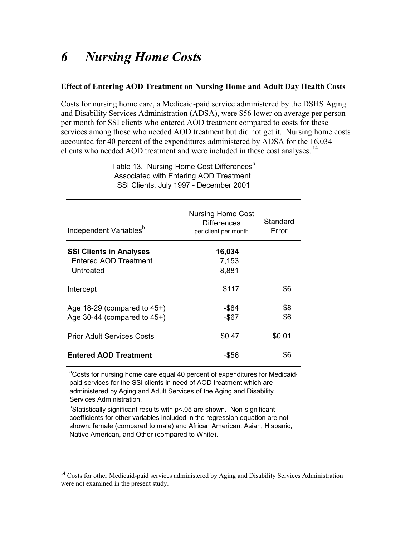### **Effect of Entering AOD Treatment on Nursing Home and Adult Day Health Costs**

Costs for nursing home care, a Medicaid-paid service administered by the DSHS Aging and Disability Services Administration (ADSA), were \$56 lower on average per person per month for SSI clients who entered AOD treatment compared to costs for these services among those who needed AOD treatment but did not get it. Nursing home costs accounted for 40 percent of the expenditures administered by ADSA for the 16,034 clients who needed AOD treatment and were included in these cost analyses.<sup>14</sup>

| Independent Variables <sup>b</sup>                                   | <b>Nursing Home Cost</b><br><b>Differences</b><br>per client per month | Standard<br>Error |
|----------------------------------------------------------------------|------------------------------------------------------------------------|-------------------|
| <b>SSI Clients in Analyses</b><br>Entered AOD Treatment<br>Untreated | 16,034<br>7,153<br>8,881                                               |                   |
| Intercept                                                            | \$117                                                                  | \$6               |
| Age $18-29$ (compared to $45+)$<br>Age 30-44 (compared to $45+$ )    | $-$ \$84<br>$-$ \$67                                                   | \$8<br>\$6        |
| <b>Prior Adult Services Costs</b>                                    | \$0.47                                                                 | \$0.01            |
| <b>Entered AOD Treatment</b>                                         | -\$56                                                                  | \$6               |

Table 13. Nursing Home Cost Differences<sup>a</sup> Associated with Entering AOD Treatment SSI Clients, July 1997 - December 2001

<sup>a</sup>Costs for nursing home care equal 40 percent of expenditures for Medicaidpaid services for the SSI clients in need of AOD treatment which are administered by Aging and Adult Services of the Aging and Disability Services Administration.

 $b$ Statistically significant results with p<.05 are shown. Non-significant coefficients for other variables included in the regression equation are not shown: female (compared to male) and African American, Asian, Hispanic, Native American, and Other (compared to White).

 $\overline{a}$ 

<sup>&</sup>lt;sup>14</sup> Costs for other Medicaid-paid services administered by Aging and Disability Services Administration were not examined in the present study.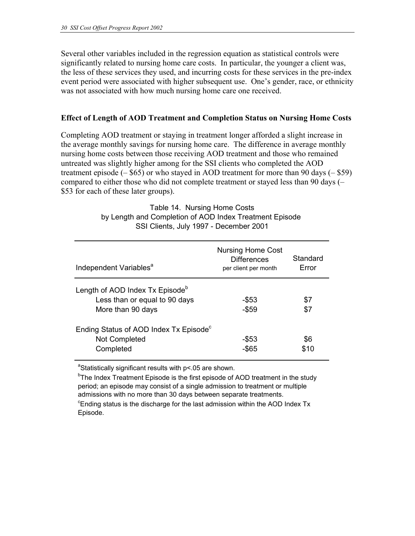Several other variables included in the regression equation as statistical controls were significantly related to nursing home care costs. In particular, the younger a client was, the less of these services they used, and incurring costs for these services in the pre-index event period were associated with higher subsequent use. One's gender, race, or ethnicity was not associated with how much nursing home care one received.

#### **Effect of Length of AOD Treatment and Completion Status on Nursing Home Costs**

Completing AOD treatment or staying in treatment longer afforded a slight increase in the average monthly savings for nursing home care. The difference in average monthly nursing home costs between those receiving AOD treatment and those who remained untreated was slightly higher among for the SSI clients who completed the AOD treatment episode  $(-\$65)$  or who stayed in AOD treatment for more than 90 days  $(-\$59)$ compared to either those who did not complete treatment or stayed less than 90 days (– \$53 for each of these later groups).

> Table 14. Nursing Home Costs by Length and Completion of AOD Index Treatment Episode SSI Clients, July 1997 - December 2001

| Independent Variables <sup>a</sup>                                                                | <b>Nursing Home Cost</b><br><b>Differences</b><br>per client per month | Standard<br>Error |
|---------------------------------------------------------------------------------------------------|------------------------------------------------------------------------|-------------------|
| Length of AOD Index Tx Episode <sup>b</sup><br>Less than or equal to 90 days<br>More than 90 days | -\$53<br>$-$ \$59                                                      | \$7<br>\$7        |
| Ending Status of AOD Index Tx Episode <sup>c</sup><br>Not Completed<br>Completed                  | -\$53<br>-\$65                                                         | \$6<br>\$10       |

<sup>a</sup>Statistically significant results with p<.05 are shown.

<sup>b</sup>The Index Treatment Episode is the first episode of AOD treatment in the study period; an episode may consist of a single admission to treatment or multiple admissions with no more than 30 days between separate treatments.

 $\textdegree$ Ending status is the discharge for the last admission within the AOD Index Tx Episode.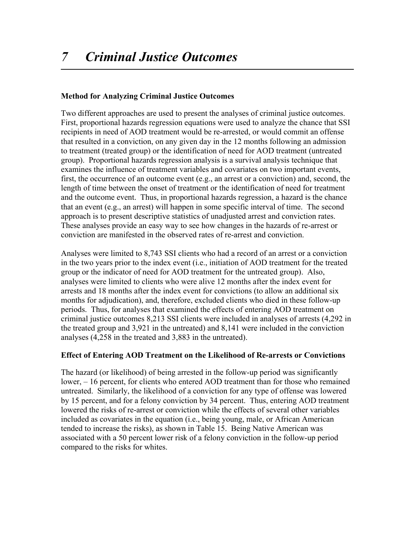# **Method for Analyzing Criminal Justice Outcomes**

Two different approaches are used to present the analyses of criminal justice outcomes. First, proportional hazards regression equations were used to analyze the chance that SSI recipients in need of AOD treatment would be re-arrested, or would commit an offense that resulted in a conviction, on any given day in the 12 months following an admission to treatment (treated group) or the identification of need for AOD treatment (untreated group). Proportional hazards regression analysis is a survival analysis technique that examines the influence of treatment variables and covariates on two important events, first, the occurrence of an outcome event (e.g., an arrest or a conviction) and, second, the length of time between the onset of treatment or the identification of need for treatment and the outcome event. Thus, in proportional hazards regression, a hazard is the chance that an event (e.g., an arrest) will happen in some specific interval of time. The second approach is to present descriptive statistics of unadjusted arrest and conviction rates. These analyses provide an easy way to see how changes in the hazards of re-arrest or conviction are manifested in the observed rates of re-arrest and conviction.

Analyses were limited to 8,743 SSI clients who had a record of an arrest or a conviction in the two years prior to the index event (i.e., initiation of AOD treatment for the treated group or the indicator of need for AOD treatment for the untreated group). Also, analyses were limited to clients who were alive 12 months after the index event for arrests and 18 months after the index event for convictions (to allow an additional six months for adjudication), and, therefore, excluded clients who died in these follow-up periods. Thus, for analyses that examined the effects of entering AOD treatment on criminal justice outcomes 8,213 SSI clients were included in analyses of arrests (4,292 in the treated group and 3,921 in the untreated) and 8,141 were included in the conviction analyses (4,258 in the treated and 3,883 in the untreated).

# **Effect of Entering AOD Treatment on the Likelihood of Re-arrests or Convictions**

The hazard (or likelihood) of being arrested in the follow-up period was significantly lower, – 16 percent, for clients who entered AOD treatment than for those who remained untreated. Similarly, the likelihood of a conviction for any type of offense was lowered by 15 percent, and for a felony conviction by 34 percent. Thus, entering AOD treatment lowered the risks of re-arrest or conviction while the effects of several other variables included as covariates in the equation (i.e., being young, male, or African American tended to increase the risks), as shown in Table 15. Being Native American was associated with a 50 percent lower risk of a felony conviction in the follow-up period compared to the risks for whites.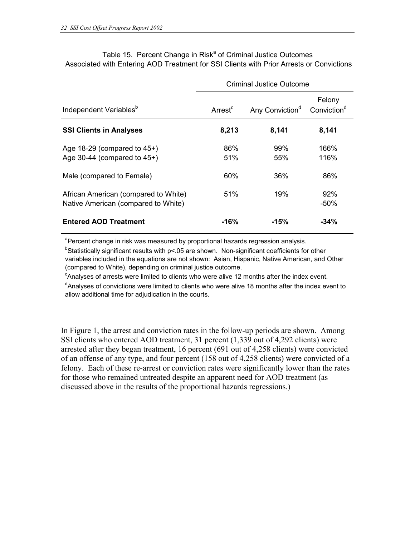|                                                                    | <b>Criminal Justice Outcome</b> |                             |                                   |
|--------------------------------------------------------------------|---------------------------------|-----------------------------|-----------------------------------|
| Independent Variables <sup>b</sup>                                 | Arrest <sup>c</sup>             | Any Conviction <sup>d</sup> | Felony<br>Conviction <sup>d</sup> |
| <b>SSI Clients in Analyses</b>                                     | 8,213                           | 8,141                       | 8,141                             |
| Age $18-29$ (compared to $45+$ )<br>Age 30-44 (compared to $45+$ ) | 86%<br>51%                      | 99%<br>55%                  | 166%<br>116%                      |
| Male (compared to Female)<br>African American (compared to White)  | 60%<br>51%                      | 36%<br>19%                  | 86%<br>92%                        |
| Native American (compared to White)                                |                                 |                             | $-50%$                            |
| <b>Entered AOD Treatment</b>                                       | $-16%$                          | $-15%$                      | $-34%$                            |

Table 15. Percent Change in Risk<sup>a</sup> of Criminal Justice Outcomes Associated with Entering AOD Treatment for SSI Clients with Prior Arrests or Convictions

<sup>a</sup>Percent change in risk was measured by proportional hazards regression analysis.

<sup>b</sup>Statistically significant results with p<.05 are shown. Non-significant coefficients for other variables included in the equations are not shown: Asian, Hispanic, Native American, and Other (compared to White), depending on criminal justice outcome.

 $\textdegree$ Analyses of arrests were limited to clients who were alive 12 months after the index event. <sup>d</sup>Analyses of convictions were limited to clients who were alive 18 months after the index event to

allow additional time for adjudication in the courts.

In Figure 1, the arrest and conviction rates in the follow-up periods are shown. Among SSI clients who entered AOD treatment, 31 percent (1,339 out of 4,292 clients) were arrested after they began treatment, 16 percent (691 out of 4,258 clients) were convicted of an offense of any type, and four percent (158 out of 4,258 clients) were convicted of a felony. Each of these re-arrest or conviction rates were significantly lower than the rates for those who remained untreated despite an apparent need for AOD treatment (as discussed above in the results of the proportional hazards regressions.)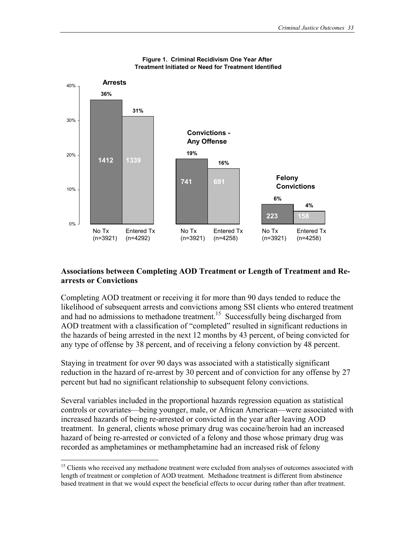

#### **Figure 1. Criminal Recidivism One Year After Treatment Initiated or Need for Treatment Identified**

### **Associations between Completing AOD Treatment or Length of Treatment and Rearrests or Convictions**

Completing AOD treatment or receiving it for more than 90 days tended to reduce the likelihood of subsequent arrests and convictions among SSI clients who entered treatment and had no admissions to methadone treatment.<sup>15</sup> Successfully being discharged from AOD treatment with a classification of "completed" resulted in significant reductions in the hazards of being arrested in the next 12 months by 43 percent, of being convicted for any type of offense by 38 percent, and of receiving a felony conviction by 48 percent.

Staying in treatment for over 90 days was associated with a statistically significant reduction in the hazard of re-arrest by 30 percent and of conviction for any offense by 27 percent but had no significant relationship to subsequent felony convictions.

Several variables included in the proportional hazards regression equation as statistical controls or covariates—being younger, male, or African American—were associated with increased hazards of being re-arrested or convicted in the year after leaving AOD treatment. In general, clients whose primary drug was cocaine/heroin had an increased hazard of being re-arrested or convicted of a felony and those whose primary drug was recorded as amphetamines or methamphetamine had an increased risk of felony

 $\overline{a}$ 

<sup>&</sup>lt;sup>15</sup> Clients who received any methadone treatment were excluded from analyses of outcomes associated with length of treatment or completion of AOD treatment. Methadone treatment is different from abstinence based treatment in that we would expect the beneficial effects to occur during rather than after treatment.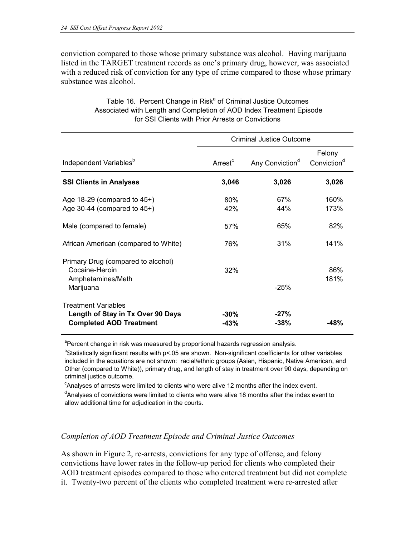conviction compared to those whose primary substance was alcohol. Having marijuana listed in the TARGET treatment records as one's primary drug, however, was associated with a reduced risk of conviction for any type of crime compared to those whose primary substance was alcohol.

|                                                                                                   |                     | <b>Criminal Justice Outcome</b> |                                   |
|---------------------------------------------------------------------------------------------------|---------------------|---------------------------------|-----------------------------------|
| Independent Variables <sup>b</sup>                                                                | Arrest <sup>c</sup> | Any Conviction <sup>d</sup>     | Felony<br>Conviction <sup>d</sup> |
| <b>SSI Clients in Analyses</b>                                                                    | 3,046               | 3,026                           | 3,026                             |
| Age $18-29$ (compared to $45+)$<br>Age 30-44 (compared to $45+$ )                                 | $80\%$<br>42%       | 67%<br>44%                      | 160%<br>173%                      |
| Male (compared to female)                                                                         | 57%                 | 65%                             | 82%                               |
| African American (compared to White)                                                              | 76%                 | 31%                             | 141%                              |
| Primary Drug (compared to alcohol)<br>Cocaine-Heroin<br>Amphetamines/Meth<br>Marijuana            | 32%                 | $-25%$                          | 86%<br>181%                       |
| <b>Treatment Variables</b><br>Length of Stay in Tx Over 90 Days<br><b>Completed AOD Treatment</b> | $-30\%$<br>$-43%$   | $-27%$<br>-38%                  | $-48%$                            |

Table 16. Percent Change in Risk<sup>a</sup> of Criminal Justice Outcomes Associated with Length and Completion of AOD Index Treatment Episode for SSI Clients with Prior Arrests or Convictions

<sup>a</sup>Percent change in risk was measured by proportional hazards regression analysis.

<sup>b</sup>Statistically significant results with p<.05 are shown. Non-significant coefficients for other variables included in the equations are not shown: racial/ethnic groups (Asian, Hispanic, Native American, and Other (compared to White)), primary drug, and length of stay in treatment over 90 days, depending on criminal justice outcome.

 $\textdegree$ Analyses of arrests were limited to clients who were alive 12 months after the index event.

<sup>d</sup>Analyses of convictions were limited to clients who were alive 18 months after the index event to allow additional time for adjudication in the courts.

# *Completion of AOD Treatment Episode and Criminal Justice Outcomes*

As shown in Figure 2, re-arrests, convictions for any type of offense, and felony convictions have lower rates in the follow-up period for clients who completed their AOD treatment episodes compared to those who entered treatment but did not complete it. Twenty-two percent of the clients who completed treatment were re-arrested after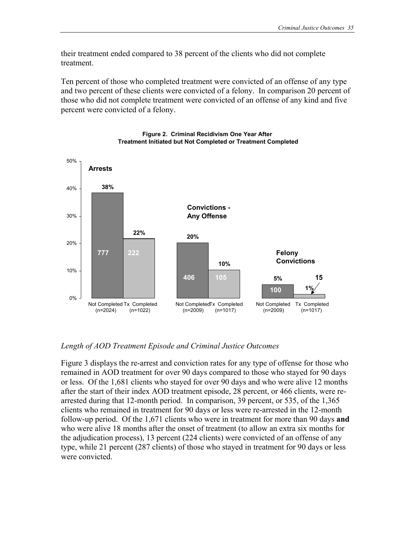their treatment ended compared to 38 percent of the clients who did not complete treatment.

Ten percent of those who completed treatment were convicted of an offense of any type and two percent of these clients were convicted of a felony. In comparison 20 percent of those who did not complete treatment were convicted of an offense of any kind and five percent were convicted of a felony.



#### **Figure 2. Criminal Recidivism One Year After Treatment Initiated but Not Completed or Treatment Completed**

*Length of AOD Treatment Episode and Criminal Justice Outcomes* 

Figure 3 displays the re-arrest and conviction rates for any type of offense for those who remained in AOD treatment for over 90 days compared to those who stayed for 90 days or less. Of the 1,681 clients who stayed for over 90 days and who were alive 12 months after the start of their index AOD treatment episode, 28 percent, or 466 clients, were rearrested during that 12-month period. In comparison, 39 percent, or 535, of the 1,365 clients who remained in treatment for 90 days or less were re-arrested in the 12-month follow-up period. Of the 1,671 clients who were in treatment for more than 90 days **and** who were alive 18 months after the onset of treatment (to allow an extra six months for the adjudication process), 13 percent (224 clients) were convicted of an offense of any type, while 21 percent (287 clients) of those who stayed in treatment for 90 days or less were convicted.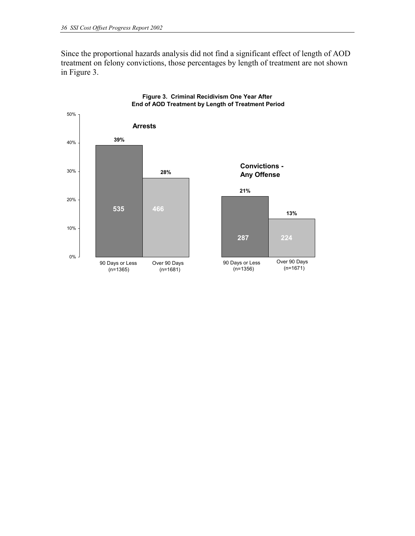Since the proportional hazards analysis did not find a significant effect of length of AOD treatment on felony convictions, those percentages by length of treatment are not shown in Figure 3.



#### **Figure 3. Criminal Recidivism One Year After End of AOD Treatment by Length of Treatment Period**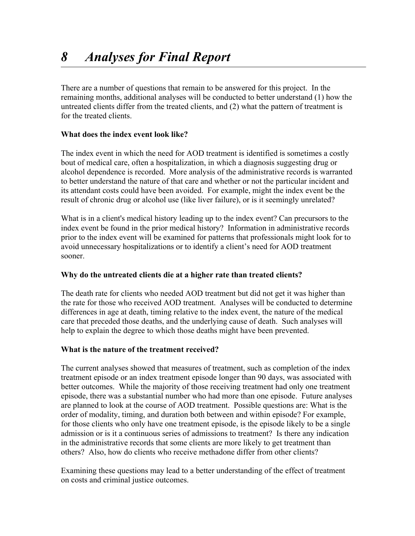There are a number of questions that remain to be answered for this project. In the remaining months, additional analyses will be conducted to better understand (1) how the untreated clients differ from the treated clients, and (2) what the pattern of treatment is for the treated clients.

# **What does the index event look like?**

The index event in which the need for AOD treatment is identified is sometimes a costly bout of medical care, often a hospitalization, in which a diagnosis suggesting drug or alcohol dependence is recorded. More analysis of the administrative records is warranted to better understand the nature of that care and whether or not the particular incident and its attendant costs could have been avoided. For example, might the index event be the result of chronic drug or alcohol use (like liver failure), or is it seemingly unrelated?

What is in a client's medical history leading up to the index event? Can precursors to the index event be found in the prior medical history? Information in administrative records prior to the index event will be examined for patterns that professionals might look for to avoid unnecessary hospitalizations or to identify a client's need for AOD treatment sooner.

# **Why do the untreated clients die at a higher rate than treated clients?**

The death rate for clients who needed AOD treatment but did not get it was higher than the rate for those who received AOD treatment. Analyses will be conducted to determine differences in age at death, timing relative to the index event, the nature of the medical care that preceded those deaths, and the underlying cause of death. Such analyses will help to explain the degree to which those deaths might have been prevented.

# **What is the nature of the treatment received?**

The current analyses showed that measures of treatment, such as completion of the index treatment episode or an index treatment episode longer than 90 days, was associated with better outcomes. While the majority of those receiving treatment had only one treatment episode, there was a substantial number who had more than one episode. Future analyses are planned to look at the course of AOD treatment. Possible questions are: What is the order of modality, timing, and duration both between and within episode? For example, for those clients who only have one treatment episode, is the episode likely to be a single admission or is it a continuous series of admissions to treatment? Is there any indication in the administrative records that some clients are more likely to get treatment than others? Also, how do clients who receive methadone differ from other clients?

Examining these questions may lead to a better understanding of the effect of treatment on costs and criminal justice outcomes.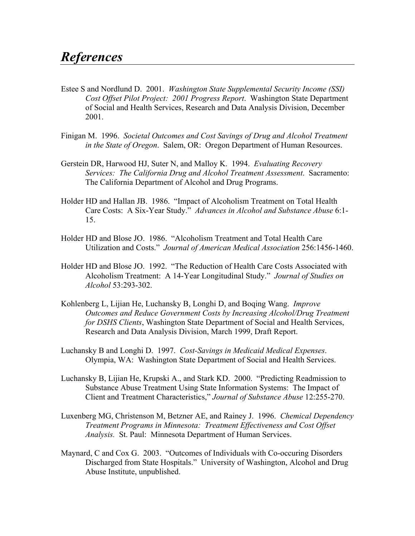- Estee S and Nordlund D. 2001. *Washington State Supplemental Security Income (SSI) Cost Offset Pilot Project: 2001 Progress Report*. Washington State Department of Social and Health Services, Research and Data Analysis Division, December 2001.
- Finigan M. 1996. *Societal Outcomes and Cost Savings of Drug and Alcohol Treatment in the State of Oregon*. Salem, OR: Oregon Department of Human Resources.
- Gerstein DR, Harwood HJ, Suter N, and Malloy K. 1994. *Evaluating Recovery Services: The California Drug and Alcohol Treatment Assessment*. Sacramento: The California Department of Alcohol and Drug Programs.
- Holder HD and Hallan JB. 1986. "Impact of Alcoholism Treatment on Total Health Care Costs: A Six-Year Study." *Advances in Alcohol and Substance Abuse* 6:1- 15.
- Holder HD and Blose JO. 1986. "Alcoholism Treatment and Total Health Care Utilization and Costs." *Journal of American Medical Association* 256:1456-1460.
- Holder HD and Blose JO. 1992. "The Reduction of Health Care Costs Associated with Alcoholism Treatment: A 14-Year Longitudinal Study." *Journal of Studies on Alcohol* 53:293-302.
- Kohlenberg L, Lijian He, Luchansky B, Longhi D, and Boqing Wang. *Improve Outcomes and Reduce Government Costs by Increasing Alcohol/Drug Treatment for DSHS Clients*, Washington State Department of Social and Health Services, Research and Data Analysis Division, March 1999, Draft Report.
- Luchansky B and Longhi D. 1997. *Cost-Savings in Medicaid Medical Expenses*. Olympia, WA: Washington State Department of Social and Health Services.
- Luchansky B, Lijian He, Krupski A., and Stark KD. 2000. "Predicting Readmission to Substance Abuse Treatment Using State Information Systems: The Impact of Client and Treatment Characteristics," *Journal of Substance Abuse* 12:255-270.
- Luxenberg MG, Christenson M, Betzner AE, and Rainey J. 1996. *Chemical Dependency Treatment Programs in Minnesota: Treatment Effectiveness and Cost Offset Analysis.* St. Paul: Minnesota Department of Human Services.
- Maynard, C and Cox G. 2003. "Outcomes of Individuals with Co-occuring Disorders Discharged from State Hospitals." University of Washington, Alcohol and Drug Abuse Institute, unpublished.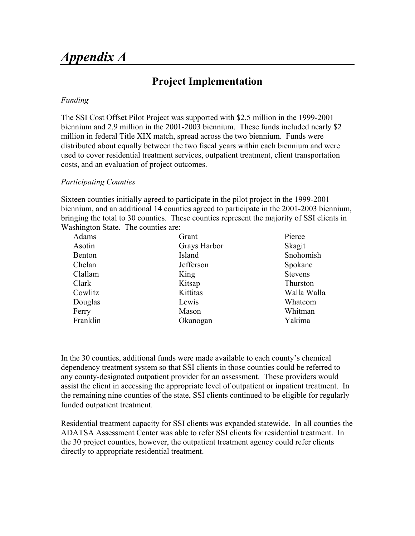# *Appendix A*

# **Project Implementation**

#### *Funding*

The SSI Cost Offset Pilot Project was supported with \$2.5 million in the 1999-2001 biennium and 2.9 million in the 2001-2003 biennium. These funds included nearly \$2 million in federal Title XIX match, spread across the two biennium. Funds were distributed about equally between the two fiscal years within each biennium and were used to cover residential treatment services, outpatient treatment, client transportation costs, and an evaluation of project outcomes.

#### *Participating Counties*

Sixteen counties initially agreed to participate in the pilot project in the 1999-2001 biennium, and an additional 14 counties agreed to participate in the 2001-2003 biennium, bringing the total to 30 counties. These counties represent the majority of SSI clients in Washington State. The counties are:

| Adams    | Grant        | Pierce         |
|----------|--------------|----------------|
| Asotin   | Grays Harbor | Skagit         |
| Benton   | Island       | Snohomish      |
| Chelan   | Jefferson    | Spokane        |
| Clallam  | King         | <b>Stevens</b> |
| Clark    | Kitsap       | Thurston       |
| Cowlitz  | Kittitas     | Walla Walla    |
| Douglas  | Lewis        | Whatcom        |
| Ferry    | Mason        | Whitman        |
| Franklin | Okanogan     | Yakima         |

In the 30 counties, additional funds were made available to each county's chemical dependency treatment system so that SSI clients in those counties could be referred to any county-designated outpatient provider for an assessment. These providers would assist the client in accessing the appropriate level of outpatient or inpatient treatment. In the remaining nine counties of the state, SSI clients continued to be eligible for regularly funded outpatient treatment.

Residential treatment capacity for SSI clients was expanded statewide. In all counties the ADATSA Assessment Center was able to refer SSI clients for residential treatment. In the 30 project counties, however, the outpatient treatment agency could refer clients directly to appropriate residential treatment.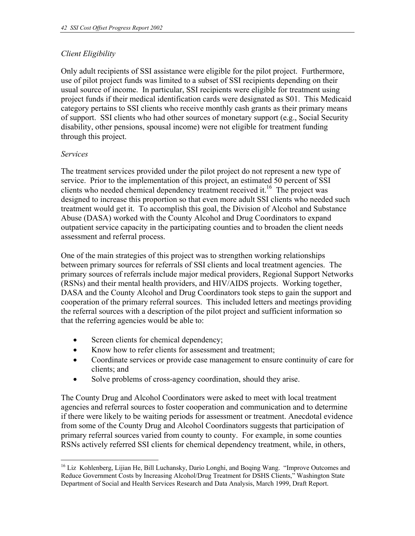# *Client Eligibility*

Only adult recipients of SSI assistance were eligible for the pilot project. Furthermore, use of pilot project funds was limited to a subset of SSI recipients depending on their usual source of income. In particular, SSI recipients were eligible for treatment using project funds if their medical identification cards were designated as S01. This Medicaid category pertains to SSI clients who receive monthly cash grants as their primary means of support. SSI clients who had other sources of monetary support (e.g., Social Security disability, other pensions, spousal income) were not eligible for treatment funding through this project.

### *Services*

The treatment services provided under the pilot project do not represent a new type of service. Prior to the implementation of this project, an estimated 50 percent of SSI clients who needed chemical dependency treatment received it.<sup>16</sup> The project was designed to increase this proportion so that even more adult SSI clients who needed such treatment would get it. To accomplish this goal, the Division of Alcohol and Substance Abuse (DASA) worked with the County Alcohol and Drug Coordinators to expand outpatient service capacity in the participating counties and to broaden the client needs assessment and referral process.

One of the main strategies of this project was to strengthen working relationships between primary sources for referrals of SSI clients and local treatment agencies. The primary sources of referrals include major medical providers, Regional Support Networks (RSNs) and their mental health providers, and HIV/AIDS projects. Working together, DASA and the County Alcohol and Drug Coordinators took steps to gain the support and cooperation of the primary referral sources. This included letters and meetings providing the referral sources with a description of the pilot project and sufficient information so that the referring agencies would be able to:

- Screen clients for chemical dependency;
- Know how to refer clients for assessment and treatment;
- Coordinate services or provide case management to ensure continuity of care for clients; and
- Solve problems of cross-agency coordination, should they arise.

The County Drug and Alcohol Coordinators were asked to meet with local treatment agencies and referral sources to foster cooperation and communication and to determine if there were likely to be waiting periods for assessment or treatment. Anecdotal evidence from some of the County Drug and Alcohol Coordinators suggests that participation of primary referral sources varied from county to county. For example, in some counties RSNs actively referred SSI clients for chemical dependency treatment, while, in others,

 $\overline{a}$ <sup>16</sup> Liz Kohlenberg, Lijian He, Bill Luchansky, Dario Longhi, and Boqing Wang. "Improve Outcomes and Reduce Government Costs by Increasing Alcohol/Drug Treatment for DSHS Clients," Washington State Department of Social and Health Services Research and Data Analysis, March 1999, Draft Report.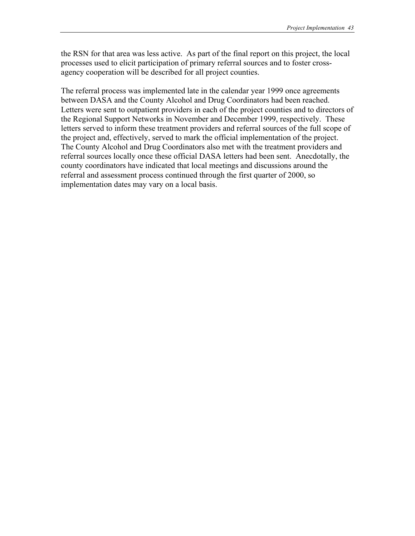the RSN for that area was less active. As part of the final report on this project, the local processes used to elicit participation of primary referral sources and to foster crossagency cooperation will be described for all project counties.

The referral process was implemented late in the calendar year 1999 once agreements between DASA and the County Alcohol and Drug Coordinators had been reached. Letters were sent to outpatient providers in each of the project counties and to directors of the Regional Support Networks in November and December 1999, respectively. These letters served to inform these treatment providers and referral sources of the full scope of the project and, effectively, served to mark the official implementation of the project. The County Alcohol and Drug Coordinators also met with the treatment providers and referral sources locally once these official DASA letters had been sent. Anecdotally, the county coordinators have indicated that local meetings and discussions around the referral and assessment process continued through the first quarter of 2000, so implementation dates may vary on a local basis.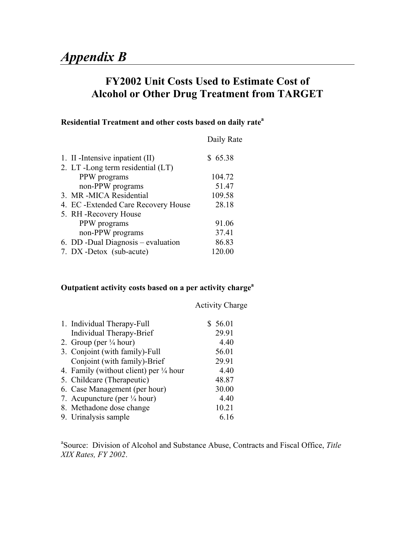# **FY2002 Unit Costs Used to Estimate Cost of Alcohol or Other Drug Treatment from TARGET**

# **Residential Treatment and other costs based on daily rate<sup>a</sup>**

|                                      | Daily Rate |
|--------------------------------------|------------|
| 1. II - Intensive inpatient (II)     | \$65.38    |
| 2. LT -Long term residential (LT)    |            |
| PPW programs                         | 104.72     |
| non-PPW programs                     | 51.47      |
| 3. MR-MICA Residential               | 109.58     |
| 4. EC - Extended Care Recovery House | 28.18      |
| 5. RH - Recovery House               |            |
| PPW programs                         | 91.06      |
| non-PPW programs                     | 37.41      |
| 6. DD -Dual Diagnosis – evaluation   | 86.83      |
| 7. DX-Detox (sub-acute)              | 120.00     |
|                                      |            |

# **Outpatient activity costs based on a per activity charge<sup>a</sup>**

|                                                   | <b>Activity Charge</b> |
|---------------------------------------------------|------------------------|
| 1. Individual Therapy-Full                        | \$56.01                |
| Individual Therapy-Brief                          | 29.91                  |
| 2. Group (per $\frac{1}{4}$ hour)                 | 4.40                   |
| 3. Conjoint (with family)-Full                    | 56.01                  |
| Conjoint (with family)-Brief                      | 29.91                  |
| 4. Family (without client) per $\frac{1}{4}$ hour | 4.40                   |
| 5. Childcare (Therapeutic)                        | 48.87                  |
| 6. Case Management (per hour)                     | 30.00                  |
| 7. Acupuncture (per $\frac{1}{4}$ hour)           | 4.40                   |
| 8. Methadone dose change                          | 10.21                  |
| 9. Urinalysis sample                              | 6.16                   |

a Source: Division of Alcohol and Substance Abuse, Contracts and Fiscal Office, *Title XIX Rates, FY 2002*.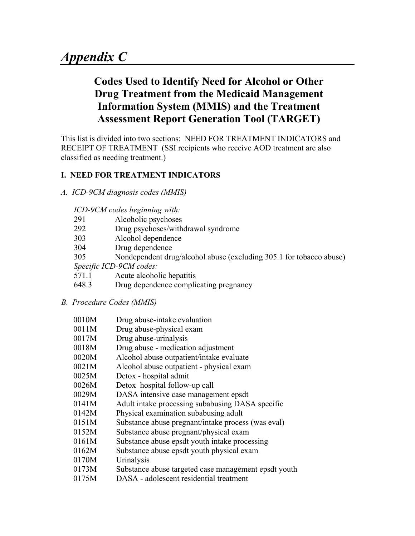# **Codes Used to Identify Need for Alcohol or Other Drug Treatment from the Medicaid Management Information System (MMIS) and the Treatment Assessment Report Generation Tool (TARGET)**

This list is divided into two sections: NEED FOR TREATMENT INDICATORS and RECEIPT OF TREATMENT (SSI recipients who receive AOD treatment are also classified as needing treatment.)

# **I. NEED FOR TREATMENT INDICATORS**

*A. ICD-9CM diagnosis codes (MMIS)* 

# *ICD-9CM codes beginning with:*

- 291 Alcoholic psychoses
- 292 Drug psychoses/withdrawal syndrome
- 303 Alcohol dependence
- 304 Drug dependence
- 305 Nondependent drug/alcohol abuse (excluding 305.1 for tobacco abuse)

*Specific ICD-9CM codes:* 

- 571.1 Acute alcoholic hepatitis
- 648.3 Drug dependence complicating pregnancy
- *B. Procedure Codes (MMIS)*

| 0010M<br>Drug abuse-intake evaluation |
|---------------------------------------|
|---------------------------------------|

- 0011M Drug abuse-physical exam
- 0017M Drug abuse-urinalysis
- 0018M Drug abuse medication adjustment
- 0020M Alcohol abuse outpatient/intake evaluate
- 0021M Alcohol abuse outpatient physical exam
- 0025M Detox hospital admit
- 0026M Detox hospital follow-up call
- 0029M DASA intensive case management epsdt
- 0141M Adult intake processing subabusing DASA specific
- 0142M Physical examination subabusing adult
- 0151M Substance abuse pregnant/intake process (was eval)
- 0152M Substance abuse pregnant/physical exam
- 0161M Substance abuse epsdt youth intake processing
- 0162M Substance abuse epsdt youth physical exam
- 0170M Urinalysis
- 0173M Substance abuse targeted case management epsdt youth
- 0175M DASA adolescent residential treatment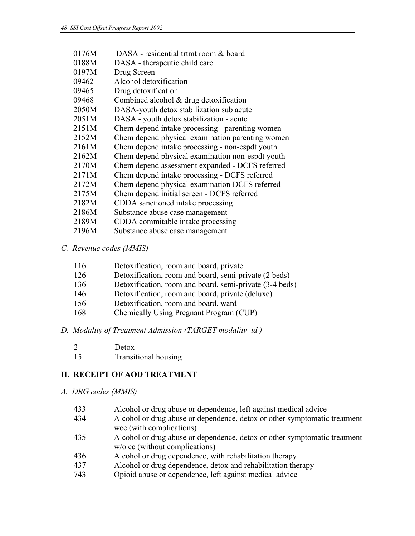| 0176M | DASA - residential trtmt room & board            |
|-------|--------------------------------------------------|
| 0188M | DASA - therapeutic child care                    |
| 0197M | Drug Screen                                      |
| 09462 | Alcohol detoxification                           |
| 09465 | Drug detoxification                              |
| 09468 | Combined alcohol $& drug$ detoxification         |
| 2050M | DASA-youth detox stabilization sub acute         |
| 2051M | DASA - youth detox stabilization - acute         |
| 2151M | Chem depend intake processing - parenting women  |
| 2152M | Chem depend physical examination parenting women |
| 2161M | Chem depend intake processing - non-espdt youth  |
| 2162M | Chem depend physical examination non-espdt youth |
| 2170M | Chem depend assessment expanded - DCFS referred  |
| 2171M | Chem depend intake processing - DCFS referred    |
| 2172M | Chem depend physical examination DCFS referred   |
| 2175M | Chem depend initial screen - DCFS referred       |
| 2182M | CDDA sanctioned intake processing                |
| 2186M | Substance abuse case management                  |
| 2189M | CDDA commitable intake processing                |
| 2196M | Substance abuse case management                  |
|       |                                                  |

### *C. Revenue codes (MMIS)*

| 116 | Detoxification, room and board, private                 |
|-----|---------------------------------------------------------|
| 126 | Detoxification, room and board, semi-private (2 beds)   |
| 136 | Detoxification, room and board, semi-private (3-4 beds) |
| 146 | Detoxification, room and board, private (deluxe)        |
| 156 | Detoxification, room and board, ward                    |
| 168 | Chemically Using Pregnant Program (CUP)                 |

# *D. Modality of Treatment Admission (TARGET modality\_id )*

| ⌒ | Detox |
|---|-------|
|   |       |

15 Transitional housing

# **II. RECEIPT OF AOD TREATMENT**

#### *A. DRG codes (MMIS)*

- 433 Alcohol or drug abuse or dependence, left against medical advice
- 434 Alcohol or drug abuse or dependence, detox or other symptomatic treatment wcc (with complications)
- 435 Alcohol or drug abuse or dependence, detox or other symptomatic treatment w/o cc (without complications)
- 436 Alcohol or drug dependence, with rehabilitation therapy
- 437 Alcohol or drug dependence, detox and rehabilitation therapy
- 743 Opioid abuse or dependence, left against medical advice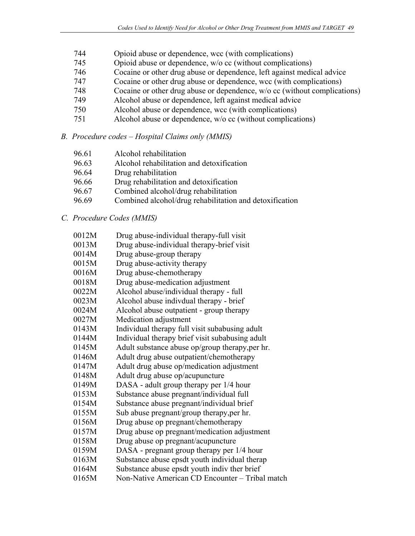- 744 Opioid abuse or dependence, wcc (with complications)
- 745 Opioid abuse or dependence, w/o cc (without complications)
- 746 Cocaine or other drug abuse or dependence, left against medical advice
- 747 Cocaine or other drug abuse or dependence, wcc (with complications)
- 748 Cocaine or other drug abuse or dependence, w/o cc (without complications)
- 749 Alcohol abuse or dependence, left against medical advice
- 750 Alcohol abuse or dependence, wcc (with complications)
- 751 Alcohol abuse or dependence, w/o cc (without complications)

# *B. Procedure codes – Hospital Claims only (MMIS)*

| 96.61 | Alcohol rehabilitation |  |
|-------|------------------------|--|
|       |                        |  |

- 96.63 Alcohol rehabilitation and detoxification
- 96.64 Drug rehabilitation
- 96.66 Drug rehabilitation and detoxification
- 96.67 Combined alcohol/drug rehabilitation
- 96.69 Combined alcohol/drug rehabilitation and detoxification

# *C. Procedure Codes (MMIS)*

| 0012M | Drug abuse-individual therapy-full visit        |
|-------|-------------------------------------------------|
| 0013M | Drug abuse-individual therapy-brief visit       |
| 0014M | Drug abuse-group therapy                        |
| 0015M | Drug abuse-activity therapy                     |
| 0016M | Drug abuse-chemotherapy                         |
| 0018M | Drug abuse-medication adjustment                |
| 0022M | Alcohol abuse/individual therapy - full         |
| 0023M | Alcohol abuse indivdual therapy - brief         |
| 0024M | Alcohol abuse outpatient - group therapy        |
| 0027M | Medication adjustment                           |
| 0143M | Individual therapy full visit subabusing adult  |
| 0144M | Individual therapy brief visit subabusing adult |
| 0145M | Adult substance abuse op/group therapy, per hr. |
| 0146M | Adult drug abuse outpatient/chemotherapy        |
| 0147M | Adult drug abuse op/medication adjustment       |
| 0148M | Adult drug abuse op/acupuncture                 |
| 0149M | DASA - adult group therapy per 1/4 hour         |
| 0153M | Substance abuse pregnant/individual full        |
| 0154M | Substance abuse pregnant/individual brief       |
| 0155M | Sub abuse pregnant/group therapy, per hr.       |
| 0156M | Drug abuse op pregnant/chemotherapy             |
| 0157M | Drug abuse op pregnant/medication adjustment    |
| 0158M | Drug abuse op pregnant/acupuncture              |
| 0159M | DASA - pregnant group therapy per 1/4 hour      |
| 0163M | Substance abuse epsdt youth individual therap   |
| 0164M | Substance abuse epsdt youth indiv ther brief    |
| 0165M | Non-Native American CD Encounter – Tribal match |
|       |                                                 |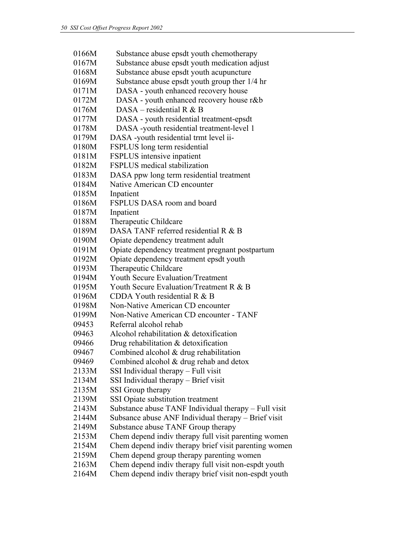0166M Substance abuse epsdt youth chemotherapy 0167M Substance abuse epsdt youth medication adjust 0168M Substance abuse epsdt youth acupuncture 0169M Substance abuse epsdt youth group ther 1/4 hr 0171M DASA - youth enhanced recovery house 0172M DASA - youth enhanced recovery house r&b 0176M DASA – residential R & B 0177M DASA - youth residential treatment-epsdt 0178M DASA -youth residential treatment-level 1 0179M DASA -youth residential trmt level ii-0180M FSPLUS long term residential 0181M FSPLUS intensive inpatient 0182M FSPLUS medical stabilization 0183M DASA ppw long term residential treatment 0184M Native American CD encounter 0185M Inpatient 0186M FSPLUS DASA room and board 0187M Inpatient 0188M Therapeutic Childcare 0189M DASA TANF referred residential R  $&B$ 0190M Opiate dependency treatment adult 0191M Opiate dependency treatment pregnant postpartum 0192M Opiate dependency treatment epsdt youth 0193M Therapeutic Childcare 0194M Youth Secure Evaluation/Treatment 0195M Youth Secure Evaluation/Treatment R & B 0196M CDDA Youth residential R & B 0198M Non-Native American CD encounter 0199M Non-Native American CD encounter - TANF 09453 Referral alcohol rehab 09463 Alcohol rehabilitation & detoxification 09466 Drug rehabilitation & detoxification 09467 Combined alcohol & drug rehabilitation 09469 Combined alcohol  $&$  drug rehab and detox 2133M SSI Individual therapy – Full visit 2134M SSI Individual therapy – Brief visit 2135M SSI Group therapy 2139M SSI Opiate substitution treatment 2143M Substance abuse TANF Individual therapy – Full visit 2144M Subsance abuse ANF Individual therapy – Brief visit 2149M Substance abuse TANF Group therapy 2153M Chem depend indiv therapy full visit parenting women 2154M Chem depend indiv therapy brief visit parenting women 2159M Chem depend group therapy parenting women 2163M Chem depend indiv therapy full visit non-espdt youth 2164M Chem depend indiv therapy brief visit non-espdt youth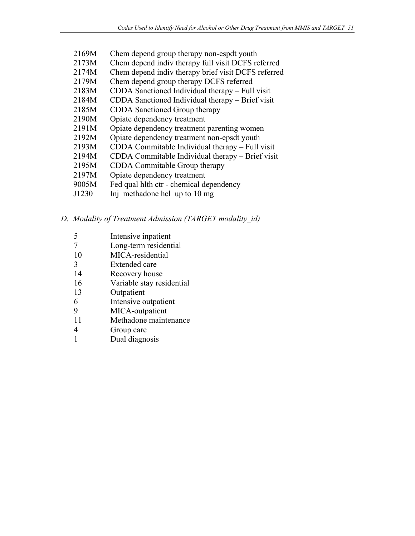- 2169M Chem depend group therapy non-espdt youth
- 2173M Chem depend indiv therapy full visit DCFS referred
- 2174M Chem depend indiv therapy brief visit DCFS referred
- 2179M Chem depend group therapy DCFS referred
- 2183M CDDA Sanctioned Individual therapy Full visit
- 2184M CDDA Sanctioned Individual therapy Brief visit
- 2185M CDDA Sanctioned Group therapy
- 2190M Opiate dependency treatment
- 2191M Opiate dependency treatment parenting women
- 2192M Opiate dependency treatment non-epsdt youth
- 2193M CDDA Commitable Individual therapy Full visit
- 2194M CDDA Commitable Individual therapy Brief visit
- 2195M CDDA Commitable Group therapy
- 2197M Opiate dependency treatment
- 9005M Fed qual hlth ctr chemical dependency
- J1230 Inj methadone hcl up to 10 mg

# *D. Modality of Treatment Admission (TARGET modality\_id)*

- 5 Intensive inpatient
- 7 Long-term residential
- 10 MICA-residential
- 3 Extended care
- 14 Recovery house
- 16 Variable stay residential
- 13 Outpatient
- 6 Intensive outpatient
- 9 MICA-outpatient
- 11 Methadone maintenance
- 4 Group care
- 1 Dual diagnosis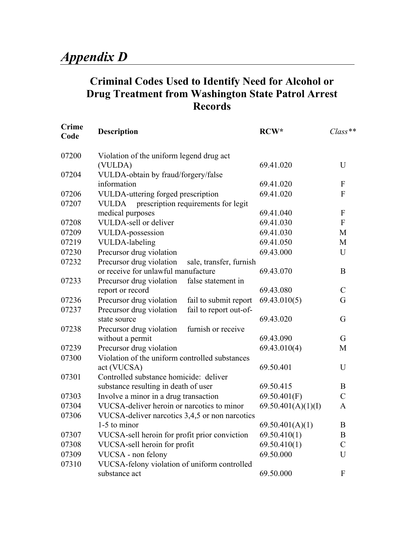# **Criminal Codes Used to Identify Need for Alcohol or Drug Treatment from Washington State Patrol Arrest Records**

| <b>Crime</b><br>Code | <b>Description</b>                                  | RCW*               | $Class**$                 |
|----------------------|-----------------------------------------------------|--------------------|---------------------------|
| 07200                | Violation of the uniform legend drug act            |                    |                           |
|                      | (VULDA)                                             | 69.41.020          | U                         |
| 07204                | VULDA-obtain by fraud/forgery/false                 |                    |                           |
|                      | information                                         | 69.41.020          | $\boldsymbol{\mathrm{F}}$ |
| 07206                | VULDA-uttering forged prescription                  | 69.41.020          | $\boldsymbol{\mathrm{F}}$ |
| 07207                | prescription requirements for legit<br><b>VULDA</b> |                    |                           |
|                      | medical purposes                                    | 69.41.040          | $\boldsymbol{F}$          |
| 07208                | VULDA-sell or deliver                               | 69.41.030          | $\boldsymbol{\mathrm{F}}$ |
| 07209                | <b>VULDA-possession</b>                             | 69.41.030          | M                         |
| 07219                | <b>VULDA-labeling</b>                               | 69.41.050          | M                         |
| 07230                | Precursor drug violation                            | 69.43.000          | U                         |
| 07232                | Precursor drug violation<br>sale, transfer, furnish |                    |                           |
|                      | or receive for unlawful manufacture                 | 69.43.070          | B                         |
| 07233                | Precursor drug violation<br>false statement in      |                    |                           |
|                      | report or record                                    | 69.43.080          | $\mathcal{C}$             |
| 07236                | Precursor drug violation<br>fail to submit report   | 69.43.010(5)       | G                         |
| 07237                | Precursor drug violation<br>fail to report out-of-  |                    |                           |
|                      | state source                                        | 69.43.020          | G                         |
| 07238                | furnish or receive<br>Precursor drug violation      |                    |                           |
|                      | without a permit                                    | 69.43.090          | G                         |
| 07239                | Precursor drug violation                            | 69.43.010(4)       | M                         |
| 07300                | Violation of the uniform controlled substances      |                    |                           |
|                      | act (VUCSA)                                         | 69.50.401          | U                         |
| 07301                | Controlled substance homicide: deliver              |                    |                           |
|                      | substance resulting in death of user                | 69.50.415          | B                         |
| 07303                | Involve a minor in a drug transaction               | 69.50.401(F)       | $\mathcal{C}$             |
| 07304                | VUCSA-deliver heroin or narcotics to minor          | 69.50.401(A)(1)(I) | A                         |
| 07306                | VUCSA-deliver narcotics 3,4,5 or non narcotics      |                    |                           |
|                      | 1-5 to minor                                        | 69.50.401(A)(1)    | $\, {\bf B}$              |
| 07307                | VUCSA-sell heroin for profit prior conviction       | 69.50.410(1)       | B                         |
| 07308                | VUCSA-sell heroin for profit                        | 69.50.410(1)       | $\mathcal{C}$             |
| 07309                | VUCSA - non felony                                  | 69.50.000          | U                         |
| 07310                | VUCSA-felony violation of uniform controlled        |                    |                           |
|                      | substance act                                       | 69.50.000          | F                         |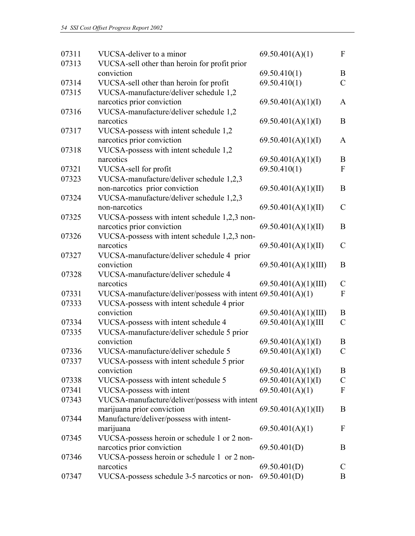| 07311 | VUCSA-deliver to a minor                                                   | 69.50.401(A)(1)         | $\mathbf{F}$     |
|-------|----------------------------------------------------------------------------|-------------------------|------------------|
| 07313 | VUCSA-sell other than heroin for profit prior                              |                         |                  |
|       | conviction                                                                 | 69.50.410(1)            | B                |
| 07314 | VUCSA-sell other than heroin for profit                                    | 69.50.410(1)            | $\mathcal{C}$    |
| 07315 | VUCSA-manufacture/deliver schedule 1,2                                     |                         |                  |
|       | narcotics prior conviction                                                 | 69.50.401(A)(1)(I)      | $\mathbf{A}$     |
| 07316 | VUCSA-manufacture/deliver schedule 1,2                                     |                         |                  |
|       | narcotics                                                                  | 69.50.401(A)(1)(I)      | $\mathbf B$      |
| 07317 | VUCSA-possess with intent schedule 1,2                                     |                         |                  |
|       | narcotics prior conviction                                                 | 69.50.401(A)(1)(I)      | $\mathbf{A}$     |
| 07318 | VUCSA-possess with intent schedule 1,2                                     |                         |                  |
|       | narcotics                                                                  | 69.50.401(A)(1)(I)      | B                |
| 07321 | VUCSA-sell for profit                                                      | 69.50.410(1)            | $\mathbf{F}$     |
| 07323 | VUCSA-manufacture/deliver schedule 1,2,3                                   |                         | B                |
| 07324 | non-narcotics prior conviction<br>VUCSA-manufacture/deliver schedule 1,2,3 | 69.50.401(A)(1)(II)     |                  |
|       | non-narcotics                                                              | 69.50.401(A)(1)(II)     | $\mathcal{C}$    |
| 07325 | VUCSA-possess with intent schedule 1,2,3 non-                              |                         |                  |
|       | narcotics prior conviction                                                 | 69.50.401(A)(1)(II)     | B                |
| 07326 | VUCSA-possess with intent schedule 1,2,3 non-                              |                         |                  |
|       | narcotics                                                                  | 69.50.401(A)(1)(II)     | $\mathcal{C}$    |
| 07327 | VUCSA-manufacture/deliver schedule 4 prior                                 |                         |                  |
|       | conviction                                                                 | $69.50.401(A)(1)$ (III) | B                |
| 07328 | VUCSA-manufacture/deliver schedule 4                                       |                         |                  |
|       | narcotics                                                                  | 69.50.401(A)(1)(III)    | $\mathcal{C}$    |
| 07331 | VUCSA-manufacture/deliver/possess with intent 69.50.401(A)(1)              |                         | $\mathbf{F}$     |
| 07333 | VUCSA-possess with intent schedule 4 prior                                 |                         |                  |
|       | conviction                                                                 | $69.50.401(A)(1)$ (III) | $\mathbf{B}$     |
| 07334 | VUCSA-possess with intent schedule 4                                       | $69.50.401(A)(1)$ (III  | $\mathcal{C}$    |
| 07335 | VUCSA-manufacture/deliver schedule 5 prior                                 |                         |                  |
|       | conviction                                                                 | 69.50.401(A)(1)(I)      | B                |
| 07336 | VUCSA-manufacture/deliver schedule 5                                       | 69.50.401(A)(1)(I)      | $\mathcal{C}$    |
| 07337 | VUCSA-possess with intent schedule 5 prior                                 |                         |                  |
|       | conviction                                                                 | 69.50.401(A)(1)(I)      | B                |
| 07338 | VUCSA-possess with intent schedule 5                                       | 69.50.401(A)(1)(I)      | $\mathcal{C}$    |
| 07341 | VUCSA-possess with intent                                                  | 69.50.401(A)(1)         | $\mathbf{F}$     |
| 07343 | VUCSA-manufacture/deliver/possess with intent                              |                         |                  |
|       | marijuana prior conviction                                                 | 69.50.401(A)(1)(II)     | B                |
| 07344 | Manufacture/deliver/possess with intent-                                   |                         |                  |
|       | marijuana                                                                  | 69.50.401(A)(1)         | $\boldsymbol{F}$ |
| 07345 | VUCSA-possess heroin or schedule 1 or 2 non-<br>narcotics prior conviction | 69.50.401(D)            | B                |
| 07346 | VUCSA-possess heroin or schedule 1 or 2 non-                               |                         |                  |
|       | narcotics                                                                  | 69.50.401(D)            | $\mathcal{C}$    |
| 07347 | VUCSA-possess schedule 3-5 narcotics or non-                               | 69.50.401(D)            | B                |
|       |                                                                            |                         |                  |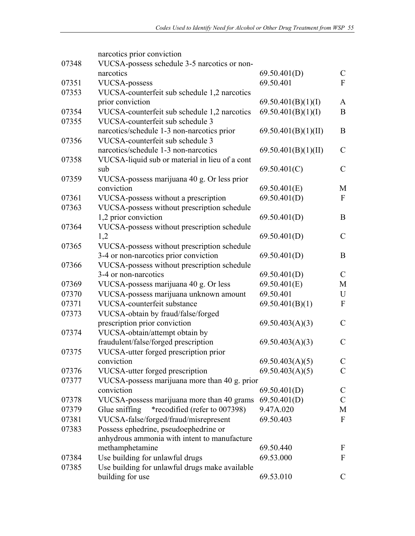|       | narcotics prior conviction                     |                     |               |
|-------|------------------------------------------------|---------------------|---------------|
| 07348 | VUCSA-possess schedule 3-5 narcotics or non-   |                     |               |
|       | narcotics                                      | 69.50.401(D)        | $\mathcal{C}$ |
| 07351 | <b>VUCSA-possess</b>                           | 69.50.401           | $\mathbf{F}$  |
| 07353 | VUCSA-counterfeit sub schedule 1,2 narcotics   |                     |               |
|       | prior conviction                               | 69.50.401(B)(1)(I)  | $\mathbf{A}$  |
| 07354 | VUCSA-counterfeit sub schedule 1,2 narcotics   | 69.50.401(B)(1)(I)  | B             |
| 07355 | VUCSA-counterfeit sub schedule 3               |                     |               |
|       | narcotics/schedule 1-3 non-narcotics prior     | 69.50.401(B)(1)(II) | B             |
| 07356 | VUCSA-counterfeit sub schedule 3               |                     |               |
|       | narcotics/schedule 1-3 non-narcotics           | 69.50.401(B)(1)(II) | $\mathcal{C}$ |
| 07358 | VUCSA-liquid sub or material in lieu of a cont |                     |               |
|       | sub                                            | 69.50.401(C)        | $\mathcal{C}$ |
| 07359 | VUCSA-possess marijuana 40 g. Or less prior    |                     |               |
|       | conviction                                     | 69.50.401(E)        | M             |
| 07361 | VUCSA-possess without a prescription           | 69.50.401(D)        | $\mathbf{F}$  |
| 07363 | VUCSA-possess without prescription schedule    |                     |               |
|       | 1,2 prior conviction                           | 69.50.401(D)        | B             |
| 07364 | VUCSA-possess without prescription schedule    |                     |               |
|       | 1,2                                            | 69.50.401(D)        | $\mathcal{C}$ |
| 07365 | VUCSA-possess without prescription schedule    |                     |               |
|       | 3-4 or non-narcotics prior conviction          | 69.50.401(D)        | B             |
| 07366 | VUCSA-possess without prescription schedule    |                     |               |
|       | 3-4 or non-narcotics                           | 69.50.401(D)        | $\mathcal{C}$ |
| 07369 | VUCSA-possess marijuana 40 g. Or less          | 69.50.401(E)        | M             |
| 07370 | VUCSA-possess marijuana unknown amount         | 69.50.401           | U             |
| 07371 | VUCSA-counterfeit substance                    | 69.50.401(B)(1)     | $\mathbf{F}$  |
| 07373 | VUCSA-obtain by fraud/false/forged             |                     |               |
|       | prescription prior conviction                  | 69.50.403(A)(3)     | $\mathcal{C}$ |
| 07374 | VUCSA-obtain/attempt obtain by                 |                     |               |
|       | fraudulent/false/forged prescription           | 69.50.403(A)(3)     | $\mathcal{C}$ |
| 07375 | VUCSA-utter forged prescription prior          |                     |               |
|       | conviction                                     | 69.50.403(A)(5)     | $\mathcal{C}$ |
| 07376 | VUCSA-utter forged prescription                | 69.50.403(A)(5)     | $\mathcal{C}$ |
| 07377 | VUCSA-possess marijuana more than 40 g. prior  |                     |               |
|       | conviction                                     | 69.50.401(D)        | $\mathcal{C}$ |
| 07378 | VUCSA-possess marijuana more than 40 grams     | 69.50.401(D)        | $\mathcal{C}$ |
| 07379 | *recodified (refer to 007398)<br>Glue sniffing | 9.47A.020           | M             |
| 07381 | VUCSA-false/forged/fraud/misrepresent          | 69.50.403           | $\mathbf{F}$  |
| 07383 | Possess ephedrine, pseudoephedrine or          |                     |               |
|       | anhydrous ammonia with intent to manufacture   |                     |               |
|       | methamphetamine                                | 69.50.440           | F             |
| 07384 | Use building for unlawful drugs                | 69.53.000           | $\mathbf{F}$  |
| 07385 | Use building for unlawful drugs make available |                     |               |
|       | building for use                               | 69.53.010           | $\mathcal{C}$ |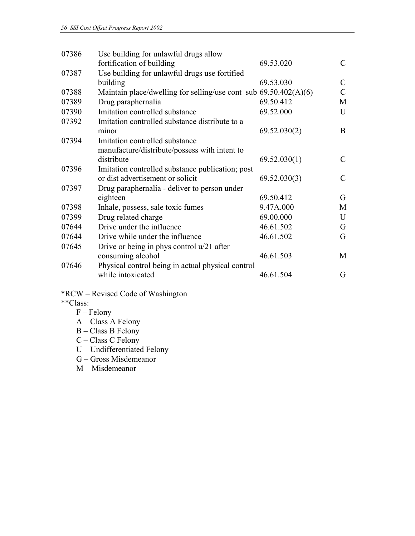| 07386 | Use building for unlawful drugs allow                              |              |               |
|-------|--------------------------------------------------------------------|--------------|---------------|
|       | fortification of building                                          | 69.53.020    | $\mathcal{C}$ |
| 07387 | Use building for unlawful drugs use fortified                      |              |               |
|       | building                                                           | 69.53.030    | $\mathcal{C}$ |
| 07388 | Maintain place/dwelling for selling/use cont sub $69.50.402(A)(6)$ |              | $\mathcal{C}$ |
| 07389 | Drug paraphernalia                                                 | 69.50.412    | M             |
| 07390 | Imitation controlled substance                                     | 69.52.000    | U             |
| 07392 | Imitation controlled substance distribute to a                     |              |               |
|       | minor                                                              | 69.52.030(2) | B             |
| 07394 | Imitation controlled substance                                     |              |               |
|       | manufacture/distribute/possess with intent to                      |              |               |
|       | distribute                                                         | 69.52.030(1) | $\mathcal{C}$ |
| 07396 | Imitation controlled substance publication; post                   |              |               |
|       | or dist advertisement or solicit                                   | 69.52.030(3) | $\mathcal{C}$ |
| 07397 | Drug paraphernalia - deliver to person under                       |              |               |
|       | eighteen                                                           | 69.50.412    | G             |
| 07398 | Inhale, possess, sale toxic fumes                                  | 9.47A.000    | М             |
| 07399 | Drug related charge                                                | 69.00.000    | U             |
| 07644 | Drive under the influence                                          | 46.61.502    | G             |
| 07644 | Drive while under the influence                                    | 46.61.502    | G             |
| 07645 | Drive or being in phys control $u/21$ after                        |              |               |
|       | consuming alcohol                                                  | 46.61.503    | M             |
| 07646 | Physical control being in actual physical control                  |              |               |
|       | while intoxicated                                                  | 46.61.504    | G             |
|       |                                                                    |              |               |

\*RCW – Revised Code of Washington

\*\*Class:

- F Felony
- A Class A Felony
- $B Class B$  Felony
- C Class C Felony
- U Undifferentiated Felony
- G Gross Misdemeanor
- M Misdemeanor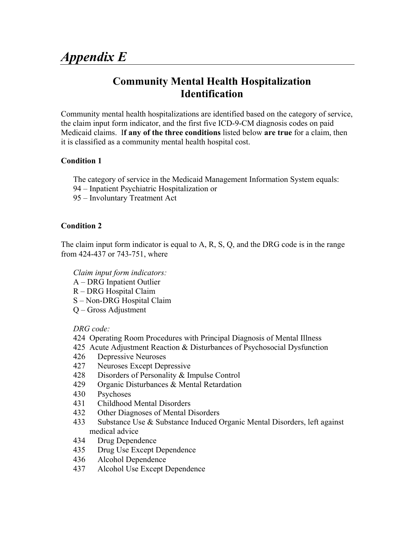# **Community Mental Health Hospitalization Identification**

Community mental health hospitalizations are identified based on the category of service, the claim input form indicator, and the first five ICD-9-CM diagnosis codes on paid Medicaid claims. I**f any of the three conditions** listed below **are true** for a claim, then it is classified as a community mental health hospital cost.

# **Condition 1**

The category of service in the Medicaid Management Information System equals:

- 94 Inpatient Psychiatric Hospitalization or
- 95 Involuntary Treatment Act

# **Condition 2**

The claim input form indicator is equal to A, R, S, Q, and the DRG code is in the range from 424-437 or 743-751, where

 *Claim input form indicators:* 

- A DRG Inpatient Outlier
- R DRG Hospital Claim
- S Non-DRG Hospital Claim
- Q Gross Adjustment

*DRG code:* 

- 424 Operating Room Procedures with Principal Diagnosis of Mental Illness
- 425 Acute Adjustment Reaction & Disturbances of Psychosocial Dysfunction
- 426 Depressive Neuroses
- 427 Neuroses Except Depressive
- 428 Disorders of Personality & Impulse Control
- 429 Organic Disturbances & Mental Retardation
- 430 Psychoses
- 431 Childhood Mental Disorders
- 432 Other Diagnoses of Mental Disorders
- 433 Substance Use & Substance Induced Organic Mental Disorders, left against medical advice
- 434 Drug Dependence
- 435 Drug Use Except Dependence
- 436 Alcohol Dependence
- 437 Alcohol Use Except Dependence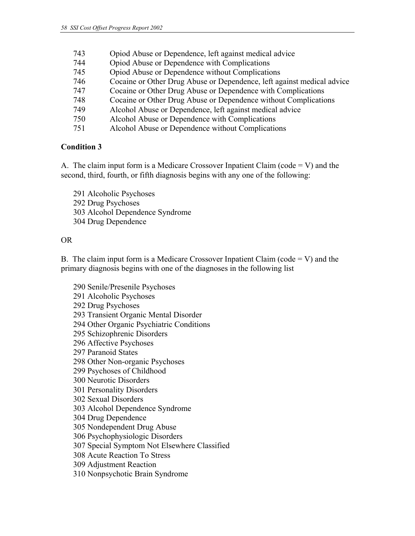| 743<br>Opiod Abuse or Dependence, left against medical advice |  |
|---------------------------------------------------------------|--|
|---------------------------------------------------------------|--|

- 744 Opiod Abuse or Dependence with Complications
- 745 Opiod Abuse or Dependence without Complications
- 746 Cocaine or Other Drug Abuse or Dependence, left against medical advice
- 747 Cocaine or Other Drug Abuse or Dependence with Complications
- 748 Cocaine or Other Drug Abuse or Dependence without Complications
- 749 Alcohol Abuse or Dependence, left against medical advice
- 750 Alcohol Abuse or Dependence with Complications
- 751 Alcohol Abuse or Dependence without Complications

# **Condition 3**

A. The claim input form is a Medicare Crossover Inpatient Claim (code  $= V$ ) and the second, third, fourth, or fifth diagnosis begins with any one of the following:

291 Alcoholic Psychoses 292 Drug Psychoses 303 Alcohol Dependence Syndrome 304 Drug Dependence

# OR

B. The claim input form is a Medicare Crossover Inpatient Claim (code  $= V$ ) and the primary diagnosis begins with one of the diagnoses in the following list

290 Senile/Presenile Psychoses 291 Alcoholic Psychoses 292 Drug Psychoses 293 Transient Organic Mental Disorder 294 Other Organic Psychiatric Conditions 295 Schizophrenic Disorders 296 Affective Psychoses 297 Paranoid States 298 Other Non-organic Psychoses 299 Psychoses of Childhood 300 Neurotic Disorders 301 Personality Disorders 302 Sexual Disorders 303 Alcohol Dependence Syndrome 304 Drug Dependence 305 Nondependent Drug Abuse 306 Psychophysiologic Disorders 307 Special Symptom Not Elsewhere Classified 308 Acute Reaction To Stress 309 Adjustment Reaction 310 Nonpsychotic Brain Syndrome